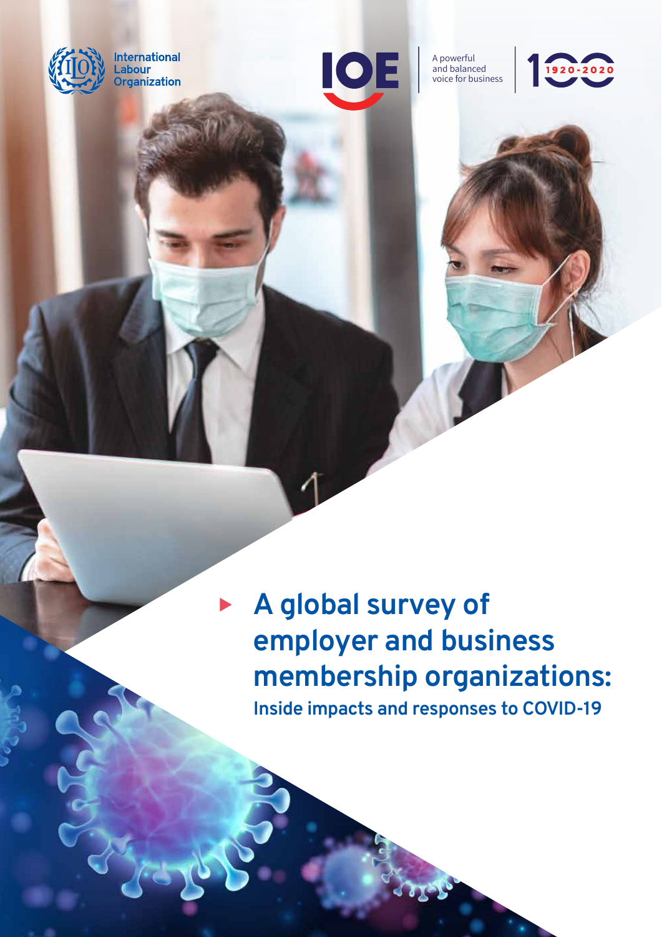

**International** \_abour **Organization** 



A powerful and balanced voice for business





## **A global survey of employer and business membership organizations: Inside impacts and responses to COVID-19**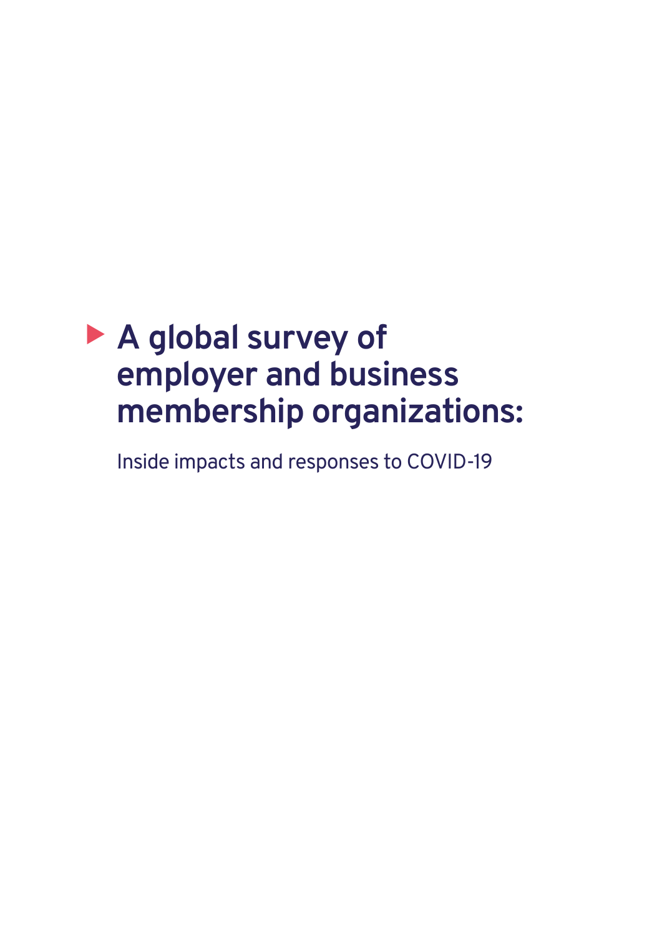## � **A global survey of employer and business membership organizations:**

Inside impacts and responses to COVID-19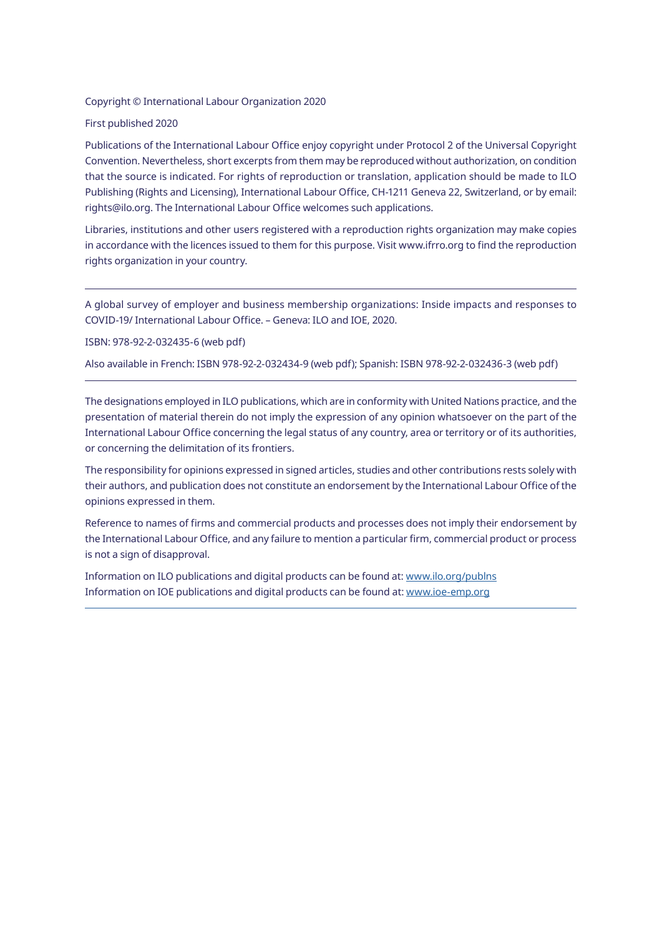#### Copyright © International Labour Organization 2020

#### First published 2020

Publications of the International Labour Office enjoy copyright under Protocol 2 of the Universal Copyright Convention. Nevertheless, short excerpts from them may be reproduced without authorization, on condition that the source is indicated. For rights of reproduction or translation, application should be made to ILO Publishing (Rights and Licensing), International Labour Office, CH-1211 Geneva 22, Switzerland, or by email: rights@ilo.org. The International Labour Office welcomes such applications.

Libraries, institutions and other users registered with a reproduction rights organization may make copies in accordance with the licences issued to them for this purpose. Visit www.ifrro.org to find the reproduction rights organization in your country.

A global survey of employer and business membership organizations: Inside impacts and responses to COVID-19/ International Labour Office. – Geneva: ILO and IOE, 2020.

ISBN: 978-92-2-032435-6 (web pdf)

Also available in French: ISBN 978-92-2-032434-9 (web pdf); Spanish: ISBN 978-92-2-032436-3 (web pdf)

The designations employed in ILO publications, which are in conformity with United Nations practice, and the presentation of material therein do not imply the expression of any opinion whatsoever on the part of the International Labour Office concerning the legal status of any country, area or territory or of its authorities, or concerning the delimitation of its frontiers.

The responsibility for opinions expressed in signed articles, studies and other contributions rests solely with their authors, and publication does not constitute an endorsement by the International Labour Office of the opinions expressed in them.

Reference to names of firms and commercial products and processes does not imply their endorsement by the International Labour Office, and any failure to mention a particular firm, commercial product or process is not a sign of disapproval.

Information on ILO publications and digital products can be found at:<www.ilo.org/publns> Information on IOE publications and digital products can be found at:<www.ioe-emp.org>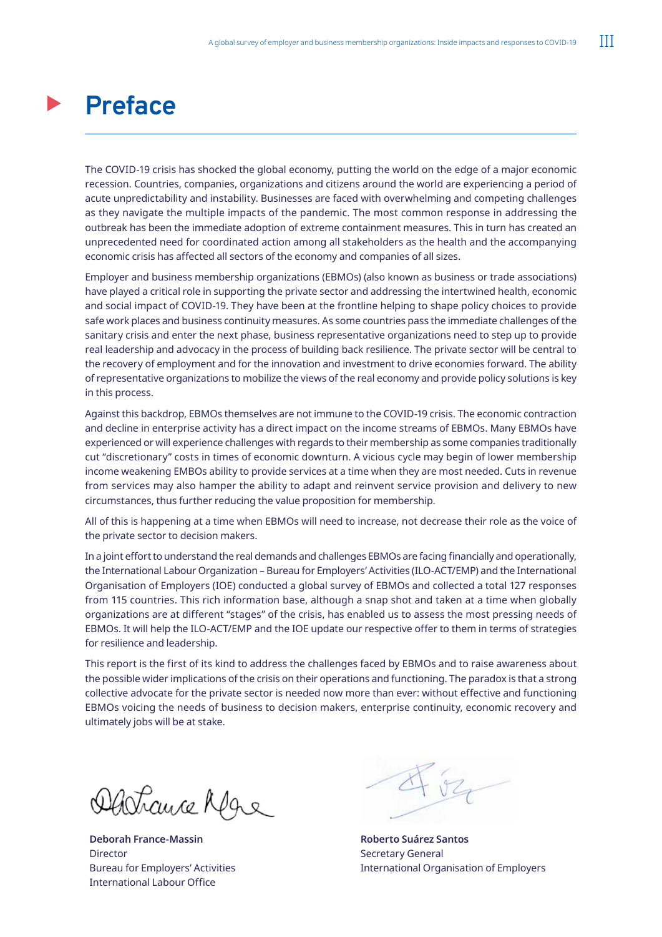## <span id="page-4-0"></span>**Preface**

The COVID-19 crisis has shocked the global economy, putting the world on the edge of a major economic recession. Countries, companies, organizations and citizens around the world are experiencing a period of acute unpredictability and instability. Businesses are faced with overwhelming and competing challenges as they navigate the multiple impacts of the pandemic. The most common response in addressing the outbreak has been the immediate adoption of extreme containment measures. This in turn has created an unprecedented need for coordinated action among all stakeholders as the health and the accompanying economic crisis has affected all sectors of the economy and companies of all sizes.

Employer and business membership organizations (EBMOs) (also known as business or trade associations) have played a critical role in supporting the private sector and addressing the intertwined health, economic and social impact of COVID-19. They have been at the frontline helping to shape policy choices to provide safe work places and business continuity measures. As some countries pass the immediate challenges of the sanitary crisis and enter the next phase, business representative organizations need to step up to provide real leadership and advocacy in the process of building back resilience. The private sector will be central to the recovery of employment and for the innovation and investment to drive economies forward. The ability of representative organizations to mobilize the views of the real economy and provide policy solutions is key in this process.

Against this backdrop, EBMOs themselves are not immune to the COVID-19 crisis. The economic contraction and decline in enterprise activity has a direct impact on the income streams of EBMOs. Many EBMOs have experienced or will experience challenges with regards to their membership as some companies traditionally cut "discretionary" costs in times of economic downturn. A vicious cycle may begin of lower membership income weakening EMBOs ability to provide services at a time when they are most needed. Cuts in revenue from services may also hamper the ability to adapt and reinvent service provision and delivery to new circumstances, thus further reducing the value proposition for membership.

All of this is happening at a time when EBMOs will need to increase, not decrease their role as the voice of the private sector to decision makers.

In a joint effort to understand the real demands and challenges EBMOs are facing financially and operationally, the International Labour Organization – Bureau for Employers' Activities (ILO-ACT/EMP) and the International Organisation of Employers (IOE) conducted a global survey of EBMOs and collected a total 127 responses from 115 countries. This rich information base, although a snap shot and taken at a time when globally organizations are at different "stages" of the crisis, has enabled us to assess the most pressing needs of EBMOs. It will help the ILO-ACT/EMP and the IOE update our respective offer to them in terms of strategies for resilience and leadership.

This report is the first of its kind to address the challenges faced by EBMOs and to raise awareness about the possible wider implications of the crisis on their operations and functioning. The paradox is that a strong collective advocate for the private sector is needed now more than ever: without effective and functioning EBMOs voicing the needs of business to decision makers, enterprise continuity, economic recovery and ultimately jobs will be at stake.

Achauce Afgre

**Deborah France-Massin Director** Bureau for Employers' Activities International Labour Office

**Roberto Suárez Santos**  Secretary General International Organisation of Employers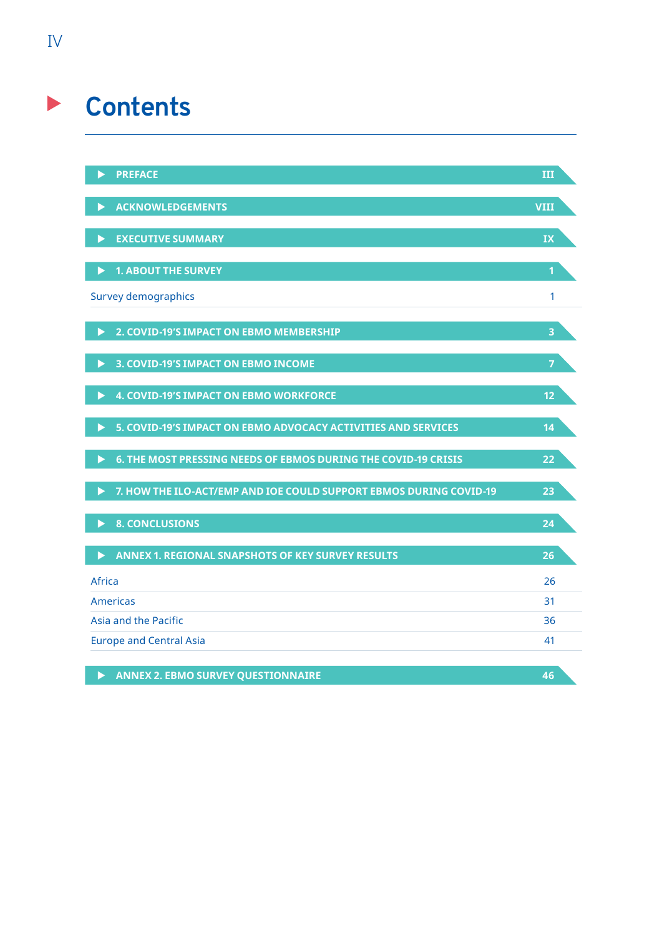## **Contents**

|        | <b>PREFACE</b>                                                     | Ш                       |
|--------|--------------------------------------------------------------------|-------------------------|
|        | <b>ACKNOWLEDGEMENTS</b>                                            | <b>VIII</b>             |
| ▶      | <b>EXECUTIVE SUMMARY</b>                                           | IX                      |
| ▶      | <b>1. ABOUT THE SURVEY</b>                                         | 1                       |
|        | <b>Survey demographics</b>                                         | 1                       |
| ▶      | 2. COVID-19'S IMPACT ON EBMO MEMBERSHIP                            | $\overline{\mathbf{3}}$ |
| ▶      | 3. COVID-19'S IMPACT ON EBMO INCOME                                | 7                       |
| ▶      | <b>4. COVID-19'S IMPACT ON EBMO WORKFORCE</b>                      | 12                      |
| ▶      | 5. COVID-19'S IMPACT ON EBMO ADVOCACY ACTIVITIES AND SERVICES      | 14                      |
| ▶      | 6. THE MOST PRESSING NEEDS OF EBMOS DURING THE COVID-19 CRISIS     | 22                      |
|        | 7. HOW THE ILO-ACT/EMP AND IOE COULD SUPPORT EBMOS DURING COVID-19 | 23                      |
| ▶      | <b>8. CONCLUSIONS</b>                                              | 24                      |
| ▶      | <b>ANNEX 1. REGIONAL SNAPSHOTS OF KEY SURVEY RESULTS</b>           | 26                      |
| Africa |                                                                    | 26                      |
|        | Americas                                                           | 31                      |
|        | Asia and the Pacific                                               | 36                      |
|        | <b>Europe and Central Asia</b>                                     | 41                      |
|        |                                                                    |                         |

**X** [ANNEX 2. EBMO SURVEY QUESTIONNAIRE 46](#page-58-0)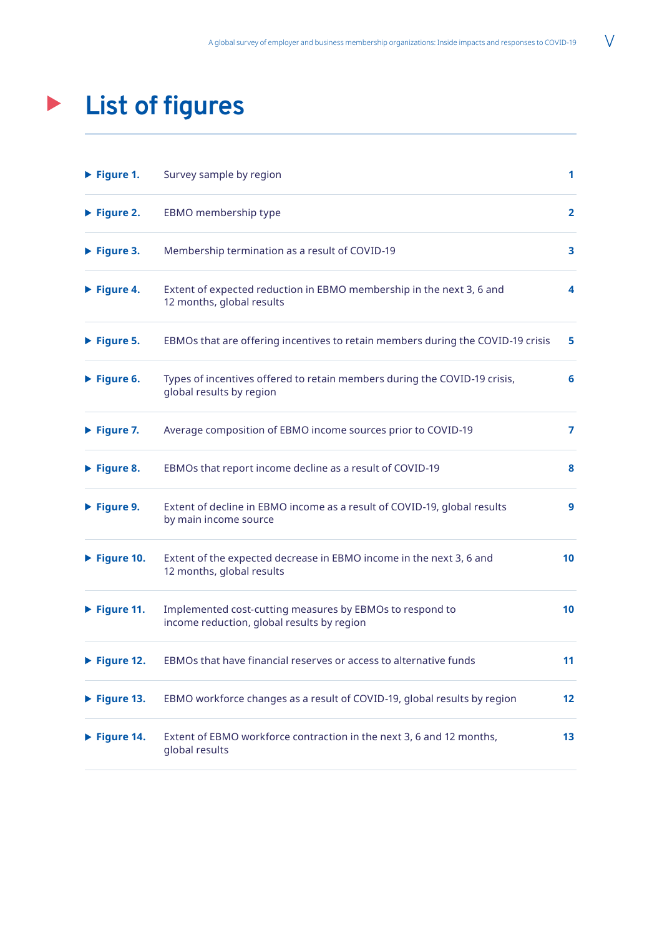## **List of figures**  $\begin{array}{c} \hline \end{array}$

| $\blacktriangleright$ Figure 1.  | Survey sample by region                                                                                | 1               |
|----------------------------------|--------------------------------------------------------------------------------------------------------|-----------------|
| $\blacktriangleright$ Figure 2.  | EBMO membership type                                                                                   | $\mathbf{2}$    |
| $\blacktriangleright$ Figure 3.  | Membership termination as a result of COVID-19                                                         | 3.              |
| $\blacktriangleright$ Figure 4.  | Extent of expected reduction in EBMO membership in the next 3, 6 and<br>12 months, global results      | 4               |
| $\blacktriangleright$ Figure 5.  | EBMOs that are offering incentives to retain members during the COVID-19 crisis                        | 5.              |
| $\blacktriangleright$ Figure 6.  | Types of incentives offered to retain members during the COVID-19 crisis,<br>global results by region  | 6               |
| $\blacktriangleright$ Figure 7.  | Average composition of EBMO income sources prior to COVID-19                                           | 7               |
| $\blacktriangleright$ Figure 8.  | EBMOs that report income decline as a result of COVID-19                                               | 8               |
| $\blacktriangleright$ Figure 9.  | Extent of decline in EBMO income as a result of COVID-19, global results<br>by main income source      | 9               |
| $\blacktriangleright$ Figure 10. | Extent of the expected decrease in EBMO income in the next 3, 6 and<br>12 months, global results       | 10              |
| $\blacktriangleright$ Figure 11. | Implemented cost-cutting measures by EBMOs to respond to<br>income reduction, global results by region | 10 <sup>°</sup> |
| $\triangleright$ Figure 12.      | EBMOs that have financial reserves or access to alternative funds                                      | 11              |
| $\blacktriangleright$ Figure 13. | EBMO workforce changes as a result of COVID-19, global results by region                               | 12              |
| $\blacktriangleright$ Figure 14. | Extent of EBMO workforce contraction in the next 3, 6 and 12 months,<br>global results                 | 13 <sup>2</sup> |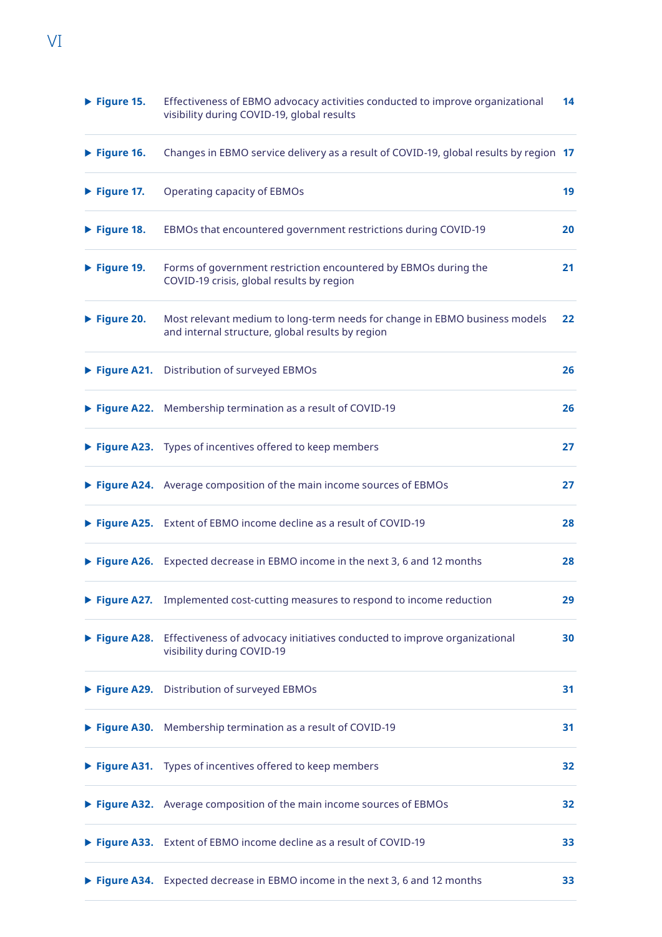| $\blacktriangleright$ Figure 15. | Effectiveness of EBMO advocacy activities conducted to improve organizational<br>visibility during COVID-19, global results    | 14 |
|----------------------------------|--------------------------------------------------------------------------------------------------------------------------------|----|
| $\blacktriangleright$ Figure 16. | Changes in EBMO service delivery as a result of COVID-19, global results by region 17                                          |    |
| $\blacktriangleright$ Figure 17. | Operating capacity of EBMOs                                                                                                    | 19 |
| $\blacktriangleright$ Figure 18. | EBMOs that encountered government restrictions during COVID-19                                                                 | 20 |
| $\blacktriangleright$ Figure 19. | Forms of government restriction encountered by EBMOs during the<br>COVID-19 crisis, global results by region                   | 21 |
| $\blacktriangleright$ Figure 20. | Most relevant medium to long-term needs for change in EBMO business models<br>and internal structure, global results by region | 22 |
|                                  | Figure A21. Distribution of surveyed EBMOs                                                                                     | 26 |
|                                  | Figure A22. Membership termination as a result of COVID-19                                                                     | 26 |
|                                  | Figure A23. Types of incentives offered to keep members                                                                        | 27 |
|                                  | ▶ Figure A24. Average composition of the main income sources of EBMOs                                                          | 27 |
|                                  | Figure A25. Extent of EBMO income decline as a result of COVID-19                                                              | 28 |
|                                  | ▶ Figure A26. Expected decrease in EBMO income in the next 3, 6 and 12 months                                                  | 28 |
|                                  | Figure A27. Implemented cost-cutting measures to respond to income reduction                                                   | 29 |
|                                  | Figure A28. Effectiveness of advocacy initiatives conducted to improve organizational<br>visibility during COVID-19            | 30 |
|                                  | Figure A29. Distribution of surveyed EBMOs                                                                                     | 31 |
|                                  | Figure A30. Membership termination as a result of COVID-19                                                                     | 31 |
|                                  | Figure A31. Types of incentives offered to keep members                                                                        | 32 |
|                                  | ▶ Figure A32. Average composition of the main income sources of EBMOs                                                          | 32 |
|                                  | Figure A33. Extent of EBMO income decline as a result of COVID-19                                                              | 33 |
|                                  | ▶ Figure A34. Expected decrease in EBMO income in the next 3, 6 and 12 months                                                  | 33 |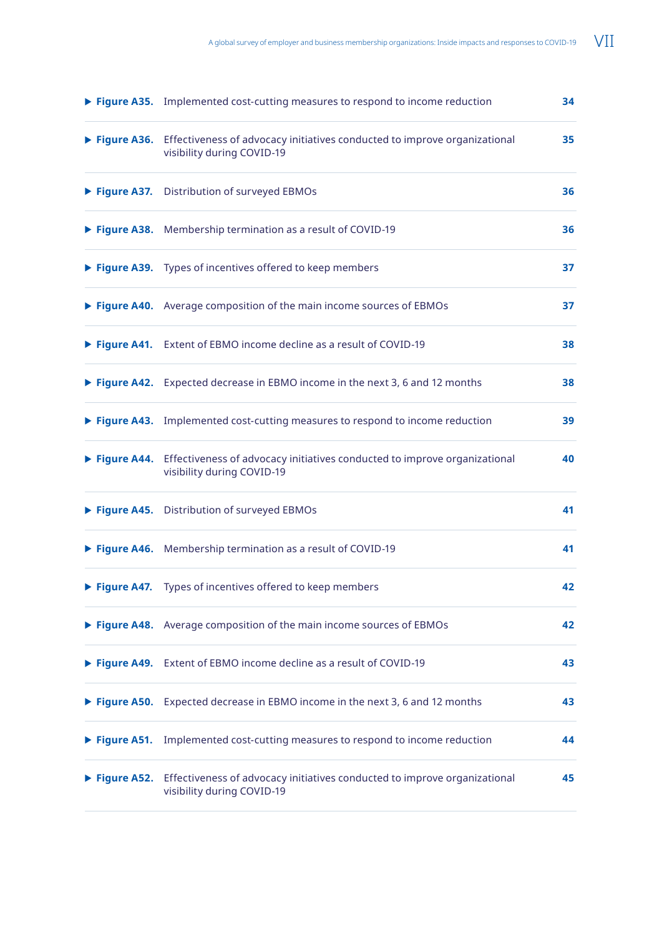|                              | Figure A35. Implemented cost-cutting measures to respond to income reduction                                        | 34 |
|------------------------------|---------------------------------------------------------------------------------------------------------------------|----|
|                              | Figure A36. Effectiveness of advocacy initiatives conducted to improve organizational<br>visibility during COVID-19 | 35 |
|                              | Figure A37. Distribution of surveyed EBMOs                                                                          | 36 |
|                              | Figure A38. Membership termination as a result of COVID-19                                                          | 36 |
|                              | Figure A39. Types of incentives offered to keep members                                                             | 37 |
|                              | ▶ Figure A40. Average composition of the main income sources of EBMOs                                               | 37 |
|                              | Figure A41. Extent of EBMO income decline as a result of COVID-19                                                   | 38 |
|                              | ▶ Figure A42. Expected decrease in EBMO income in the next 3, 6 and 12 months                                       | 38 |
|                              | Figure A43. Implemented cost-cutting measures to respond to income reduction                                        | 39 |
|                              | Figure A44. Effectiveness of advocacy initiatives conducted to improve organizational<br>visibility during COVID-19 | 40 |
|                              | Figure A45. Distribution of surveyed EBMOs                                                                          | 41 |
|                              | ▶ Figure A46. Membership termination as a result of COVID-19                                                        | 41 |
|                              | Figure A47. Types of incentives offered to keep members                                                             | 42 |
|                              | Figure A48. Average composition of the main income sources of EBMOs                                                 | 42 |
|                              | Figure A49. Extent of EBMO income decline as a result of COVID-19                                                   | 43 |
|                              | ▶ Figure A50. Expected decrease in EBMO income in the next 3, 6 and 12 months                                       | 43 |
|                              | Figure A51. Implemented cost-cutting measures to respond to income reduction                                        | 44 |
| $\triangleright$ Figure A52. | Effectiveness of advocacy initiatives conducted to improve organizational<br>visibility during COVID-19             | 45 |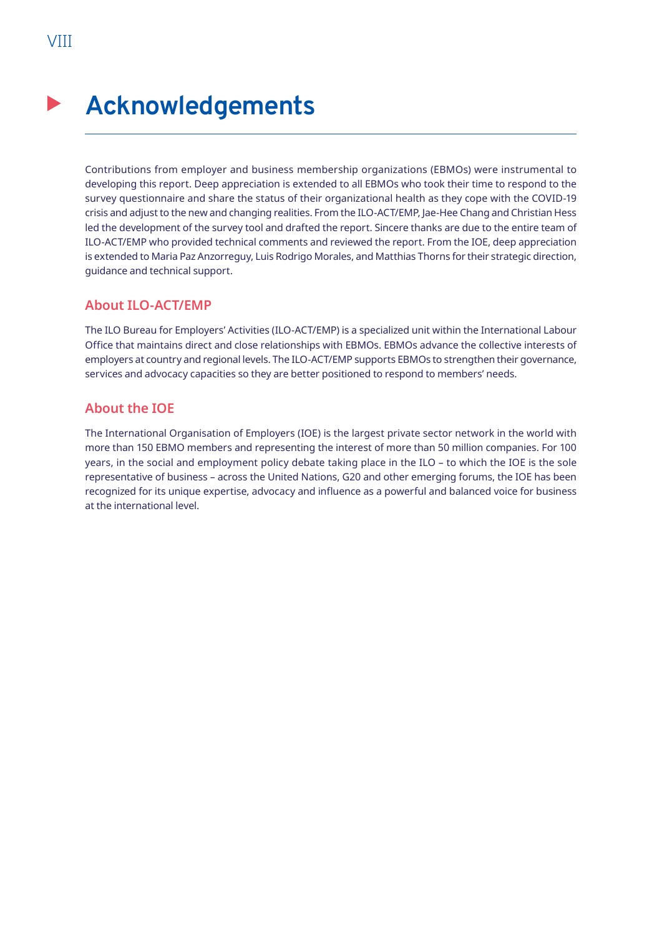## <span id="page-9-0"></span>**Acknowledgements**

Contributions from employer and business membership organizations (EBMOs) were instrumental to developing this report. Deep appreciation is extended to all EBMOs who took their time to respond to the survey questionnaire and share the status of their organizational health as they cope with the COVID-19 crisis and adjust to the new and changing realities. From the ILO-ACT/EMP, Jae-Hee Chang and Christian Hess led the development of the survey tool and drafted the report. Sincere thanks are due to the entire team of ILO-ACT/EMP who provided technical comments and reviewed the report. From the IOE, deep appreciation is extended to Maria Paz Anzorreguy, Luis Rodrigo Morales, and Matthias Thorns for their strategic direction, guidance and technical support.

## **About ILO-ACT/EMP**

The ILO Bureau for Employers' Activities (ILO-ACT/EMP) is a specialized unit within the International Labour Office that maintains direct and close relationships with EBMOs. EBMOs advance the collective interests of employers at country and regional levels. The ILO-ACT/EMP supports EBMOs to strengthen their governance, services and advocacy capacities so they are better positioned to respond to members' needs.

## **About the IOE**

The International Organisation of Employers (IOE) is the largest private sector network in the world with more than 150 EBMO members and representing the interest of more than 50 million companies. For 100 years, in the social and employment policy debate taking place in the ILO – to which the IOE is the sole representative of business – across the United Nations, G20 and other emerging forums, the IOE has been recognized for its unique expertise, advocacy and influence as a powerful and balanced voice for business at the international level.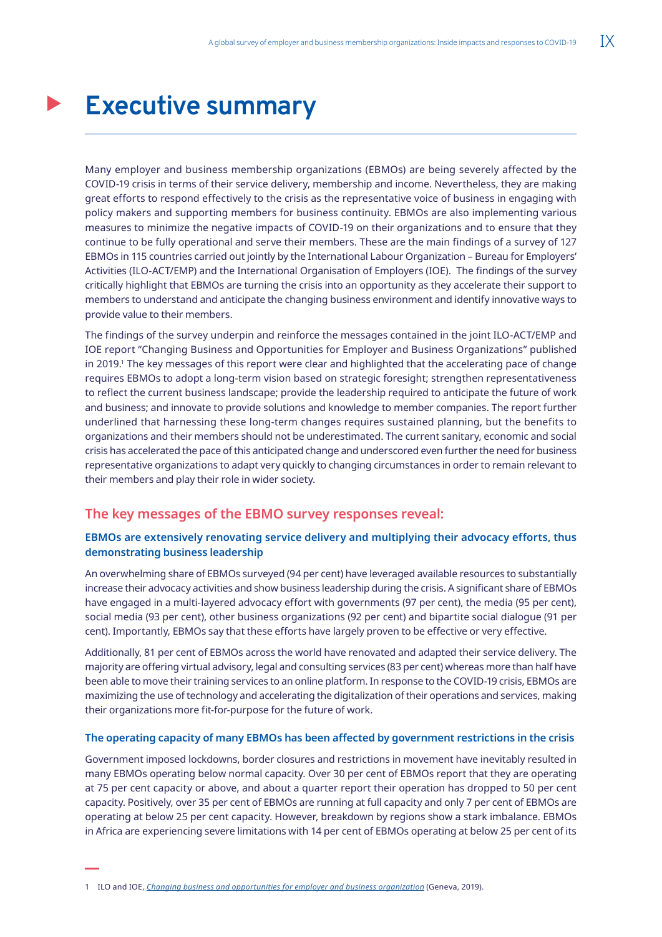## <span id="page-10-0"></span>**Executive summary**

Many employer and business membership organizations (EBMOs) are being severely affected by the COVID-19 crisis in terms of their service delivery, membership and income. Nevertheless, they are making great efforts to respond effectively to the crisis as the representative voice of business in engaging with policy makers and supporting members for business continuity. EBMOs are also implementing various measures to minimize the negative impacts of COVID-19 on their organizations and to ensure that they continue to be fully operational and serve their members. These are the main findings of a survey of 127 EBMOs in 115 countries carried out jointly by the International Labour Organization – Bureau for Employers' Activities (ILO-ACT/EMP) and the International Organisation of Employers (IOE). The findings of the survey critically highlight that EBMOs are turning the crisis into an opportunity as they accelerate their support to members to understand and anticipate the changing business environment and identify innovative ways to provide value to their members.

The findings of the survey underpin and reinforce the messages contained in the joint ILO-ACT/EMP and IOE report "Changing Business and Opportunities for Employer and Business Organizations" published in 2019.' The key messages of this report were clear and highlighted that the accelerating pace of change requires EBMOs to adopt a long-term vision based on strategic foresight; strengthen representativeness to reflect the current business landscape; provide the leadership required to anticipate the future of work and business; and innovate to provide solutions and knowledge to member companies. The report further underlined that harnessing these long-term changes requires sustained planning, but the benefits to organizations and their members should not be underestimated. The current sanitary, economic and social crisis has accelerated the pace of this anticipated change and underscored even further the need for business representative organizations to adapt very quickly to changing circumstances in order to remain relevant to their members and play their role in wider society.

## **The key messages of the EBMO survey responses reveal:**

### **EBMOs are extensively renovating service delivery and multiplying their advocacy efforts, thus demonstrating business leadership**

An overwhelming share of EBMOs surveyed (94 per cent) have leveraged available resources to substantially increase their advocacy activities and show business leadership during the crisis. A significant share of EBMOs have engaged in a multi-layered advocacy effort with governments (97 per cent), the media (95 per cent), social media (93 per cent), other business organizations (92 per cent) and bipartite social dialogue (91 per cent). Importantly, EBMOs say that these efforts have largely proven to be effective or very effective.

Additionally, 81 per cent of EBMOs across the world have renovated and adapted their service delivery. The majority are offering virtual advisory, legal and consulting services (83 per cent) whereas more than half have been able to move their training services to an online platform. In response to the COVID-19 crisis, EBMOs are maximizing the use of technology and accelerating the digitalization of their operations and services, making their organizations more fit-for-purpose for the future of work.

#### **The operating capacity of many EBMOs has been affected by government restrictions in the crisis**

Government imposed lockdowns, border closures and restrictions in movement have inevitably resulted in many EBMOs operating below normal capacity. Over 30 per cent of EBMOs report that they are operating at 75 per cent capacity or above, and about a quarter report their operation has dropped to 50 per cent capacity. Positively, over 35 per cent of EBMOs are running at full capacity and only 7 per cent of EBMOs are operating at below 25 per cent capacity. However, breakdown by regions show a stark imbalance. EBMOs in Africa are experiencing severe limitations with 14 per cent of EBMOs operating at below 25 per cent of its

<sup>1</sup> ILO and IOE, *[Changing business and opportunities for employer and business organization](https://www.ilo.org/wcmsp5/groups/public/---ed_dialogue/---act_emp/documents/publication/wcms_679582.pdf)* (Geneva, 2019).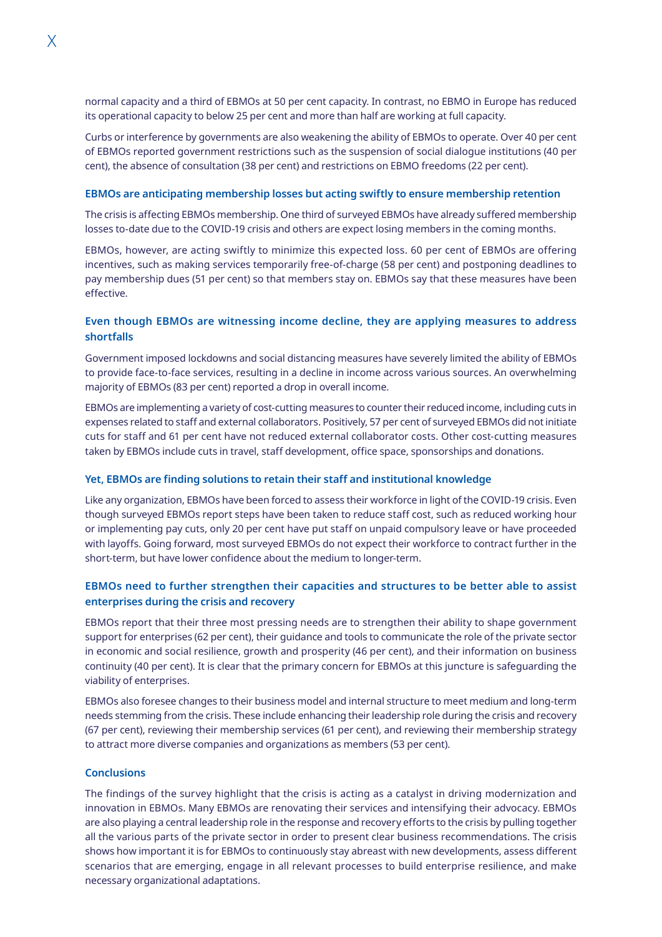normal capacity and a third of EBMOs at 50 per cent capacity. In contrast, no EBMO in Europe has reduced its operational capacity to below 25 per cent and more than half are working at full capacity.

Curbs or interference by governments are also weakening the ability of EBMOs to operate. Over 40 per cent of EBMOs reported government restrictions such as the suspension of social dialogue institutions (40 per cent), the absence of consultation (38 per cent) and restrictions on EBMO freedoms (22 per cent).

#### **EBMOs are anticipating membership losses but acting swiftly to ensure membership retention**

The crisis is affecting EBMOs membership. One third of surveyed EBMOs have already suffered membership losses to-date due to the COVID-19 crisis and others are expect losing members in the coming months.

EBMOs, however, are acting swiftly to minimize this expected loss. 60 per cent of EBMOs are offering incentives, such as making services temporarily free-of-charge (58 per cent) and postponing deadlines to pay membership dues (51 per cent) so that members stay on. EBMOs say that these measures have been effective.

## **Even though EBMOs are witnessing income decline, they are applying measures to address shortfalls**

Government imposed lockdowns and social distancing measures have severely limited the ability of EBMOs to provide face-to-face services, resulting in a decline in income across various sources. An overwhelming majority of EBMOs (83 per cent) reported a drop in overall income.

EBMOs are implementing a variety of cost-cutting measures to counter their reduced income, including cuts in expenses related to staff and external collaborators. Positively, 57 per cent of surveyed EBMOs did not initiate cuts for staff and 61 per cent have not reduced external collaborator costs. Other cost-cutting measures taken by EBMOs include cuts in travel, staff development, office space, sponsorships and donations.

#### **Yet, EBMOs are finding solutions to retain their staff and institutional knowledge**

Like any organization, EBMOs have been forced to assess their workforce in light of the COVID-19 crisis. Even though surveyed EBMOs report steps have been taken to reduce staff cost, such as reduced working hour or implementing pay cuts, only 20 per cent have put staff on unpaid compulsory leave or have proceeded with layoffs. Going forward, most surveyed EBMOs do not expect their workforce to contract further in the short-term, but have lower confidence about the medium to longer-term.

### **EBMOs need to further strengthen their capacities and structures to be better able to assist enterprises during the crisis and recovery**

EBMOs report that their three most pressing needs are to strengthen their ability to shape government support for enterprises (62 per cent), their guidance and tools to communicate the role of the private sector in economic and social resilience, growth and prosperity (46 per cent), and their information on business continuity (40 per cent). It is clear that the primary concern for EBMOs at this juncture is safeguarding the viability of enterprises.

EBMOs also foresee changes to their business model and internal structure to meet medium and long-term needs stemming from the crisis. These include enhancing their leadership role during the crisis and recovery (67 per cent), reviewing their membership services (61 per cent), and reviewing their membership strategy to attract more diverse companies and organizations as members (53 per cent).

#### **Conclusions**

The findings of the survey highlight that the crisis is acting as a catalyst in driving modernization and innovation in EBMOs. Many EBMOs are renovating their services and intensifying their advocacy. EBMOs are also playing a central leadership role in the response and recovery efforts to the crisis by pulling together all the various parts of the private sector in order to present clear business recommendations. The crisis shows how important it is for EBMOs to continuously stay abreast with new developments, assess different scenarios that are emerging, engage in all relevant processes to build enterprise resilience, and make necessary organizational adaptations.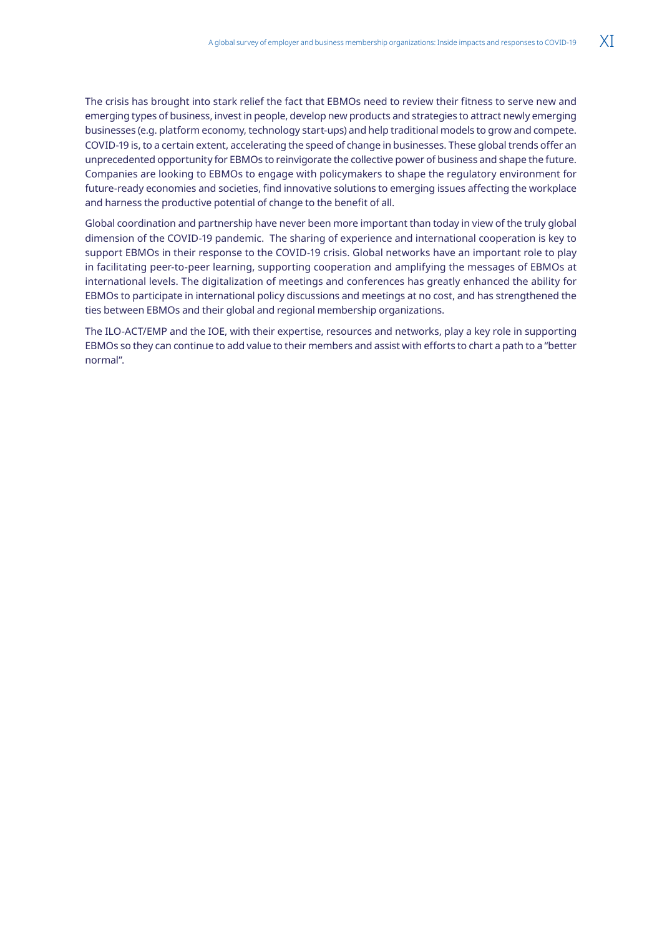The crisis has brought into stark relief the fact that EBMOs need to review their fitness to serve new and emerging types of business, invest in people, develop new products and strategies to attract newly emerging businesses (e.g. platform economy, technology start-ups) and help traditional models to grow and compete. COVID-19 is, to a certain extent, accelerating the speed of change in businesses. These global trends offer an unprecedented opportunity for EBMOs to reinvigorate the collective power of business and shape the future. Companies are looking to EBMOs to engage with policymakers to shape the regulatory environment for future-ready economies and societies, find innovative solutions to emerging issues affecting the workplace and harness the productive potential of change to the benefit of all.

Global coordination and partnership have never been more important than today in view of the truly global dimension of the COVID-19 pandemic. The sharing of experience and international cooperation is key to support EBMOs in their response to the COVID-19 crisis. Global networks have an important role to play in facilitating peer-to-peer learning, supporting cooperation and amplifying the messages of EBMOs at international levels. The digitalization of meetings and conferences has greatly enhanced the ability for EBMOs to participate in international policy discussions and meetings at no cost, and has strengthened the ties between EBMOs and their global and regional membership organizations.

The ILO-ACT/EMP and the IOE, with their expertise, resources and networks, play a key role in supporting EBMOs so they can continue to add value to their members and assist with efforts to chart a path to a "better normal".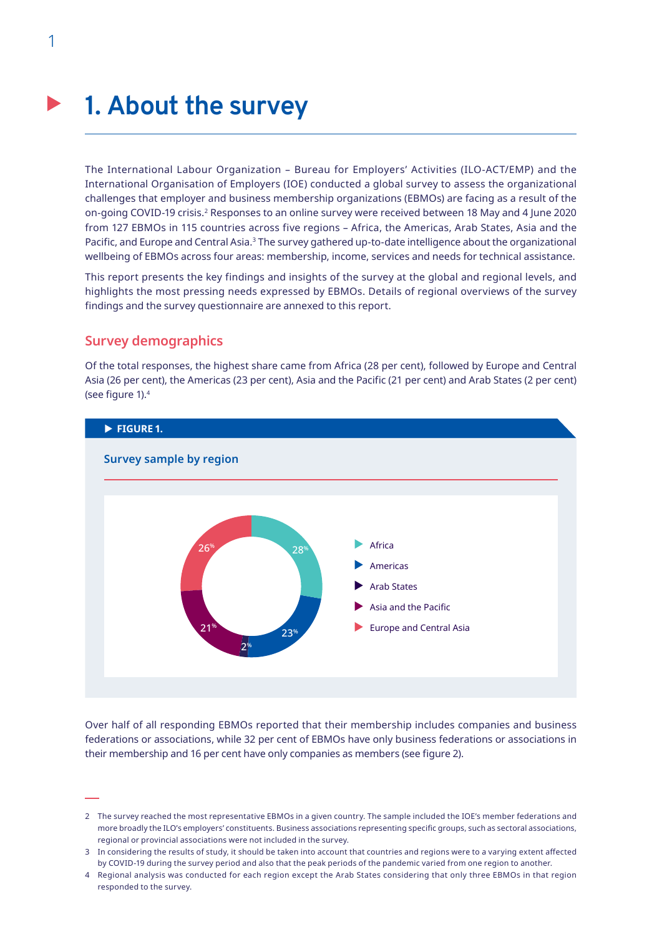## <span id="page-13-0"></span>**1. About the survey**

The International Labour Organization – Bureau for Employers' Activities (ILO-ACT/EMP) and the International Organisation of Employers (IOE) conducted a global survey to assess the organizational challenges that employer and business membership organizations (EBMOs) are facing as a result of the on-going COVID-19 crisis.<sup>2</sup> Responses to an online survey were received between 18 May and 4 June 2020 from 127 EBMOs in 115 countries across five regions – Africa, the Americas, Arab States, Asia and the Pacific, and Europe and Central Asia.<sup>3</sup> The survey gathered up-to-date intelligence about the organizational wellbeing of EBMOs across four areas: membership, income, services and needs for technical assistance.

This report presents the key findings and insights of the survey at the global and regional levels, and highlights the most pressing needs expressed by EBMOs. Details of regional overviews of the survey findings and the survey questionnaire are annexed to this report.

## **Survey demographics**

Of the total responses, the highest share came from Africa (28 per cent), followed by Europe and Central Asia (26 per cent), the Americas (23 per cent), Asia and the Pacific (21 per cent) and Arab States (2 per cent) (see figure 1).4



Over half of all responding EBMOs reported that their membership includes companies and business federations or associations, while 32 per cent of EBMOs have only business federations or associations in their membership and 16 per cent have only companies as members (see figure 2).

<sup>2</sup> The survey reached the most representative EBMOs in a given country. The sample included the IOE's member federations and more broadly the ILO's employers' constituents. Business associations representing specific groups, such as sectoral associations, regional or provincial associations were not included in the survey.

<sup>3</sup> In considering the results of study, it should be taken into account that countries and regions were to a varying extent affected by COVID-19 during the survey period and also that the peak periods of the pandemic varied from one region to another.

<sup>4</sup> Regional analysis was conducted for each region except the Arab States considering that only three EBMOs in that region responded to the survey.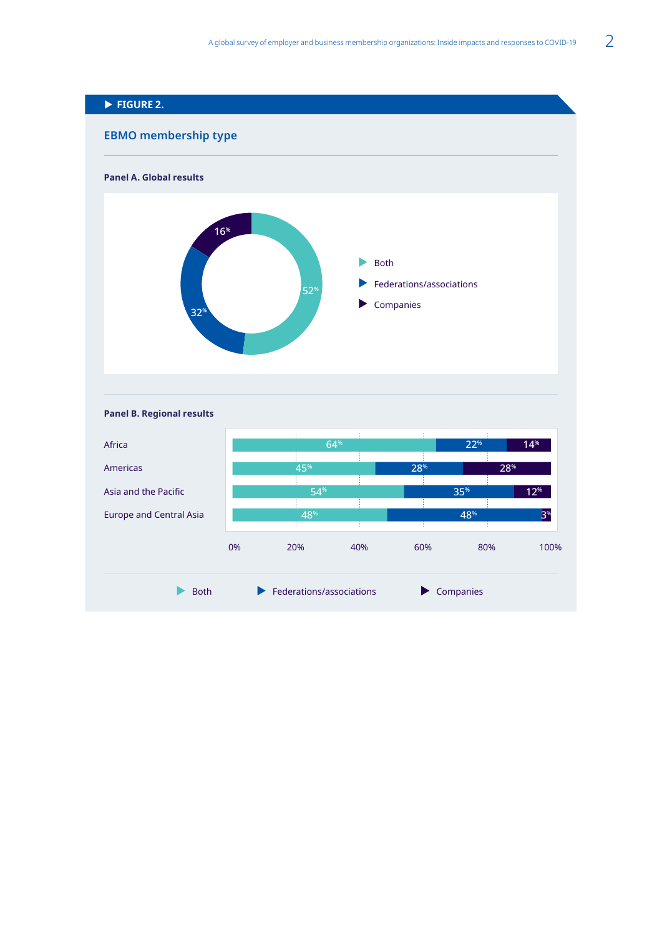<span id="page-14-0"></span>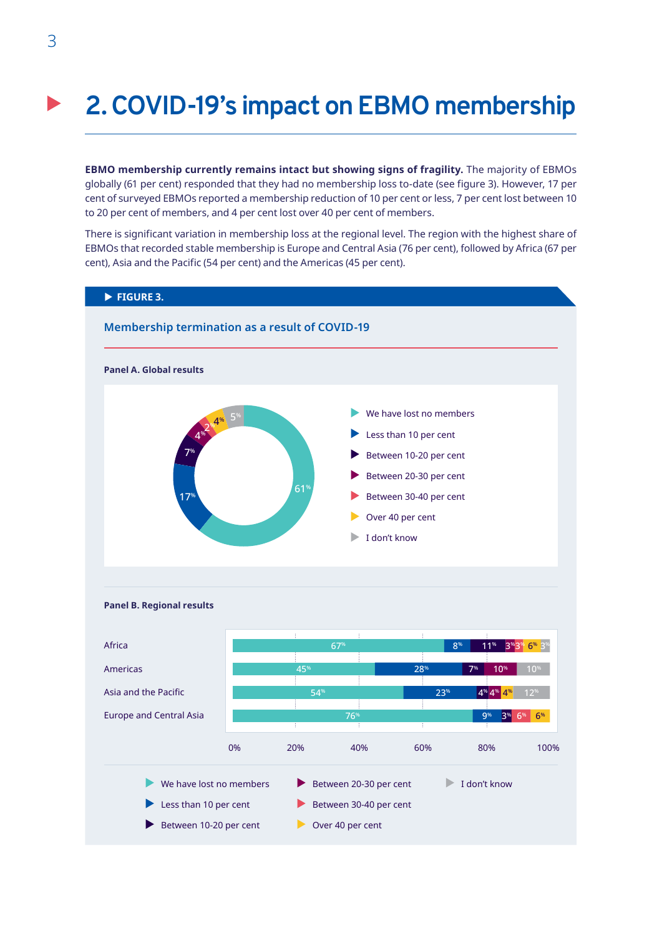## <span id="page-15-0"></span>**2. COVID-19's impact on EBMO membership**

**EBMO membership currently remains intact but showing signs of fragility.** The majority of EBMOs globally (61 per cent) responded that they had no membership loss to-date (see figure 3). However, 17 per cent of surveyed EBMOs reported a membership reduction of 10 per cent or less, 7 per cent lost between 10 to 20 per cent of members, and 4 per cent lost over 40 per cent of members.

There is significant variation in membership loss at the regional level. The region with the highest share of EBMOs that recorded stable membership is Europe and Central Asia (76 per cent), followed by Africa (67 per cent), Asia and the Pacific (54 per cent) and the Americas (45 per cent).



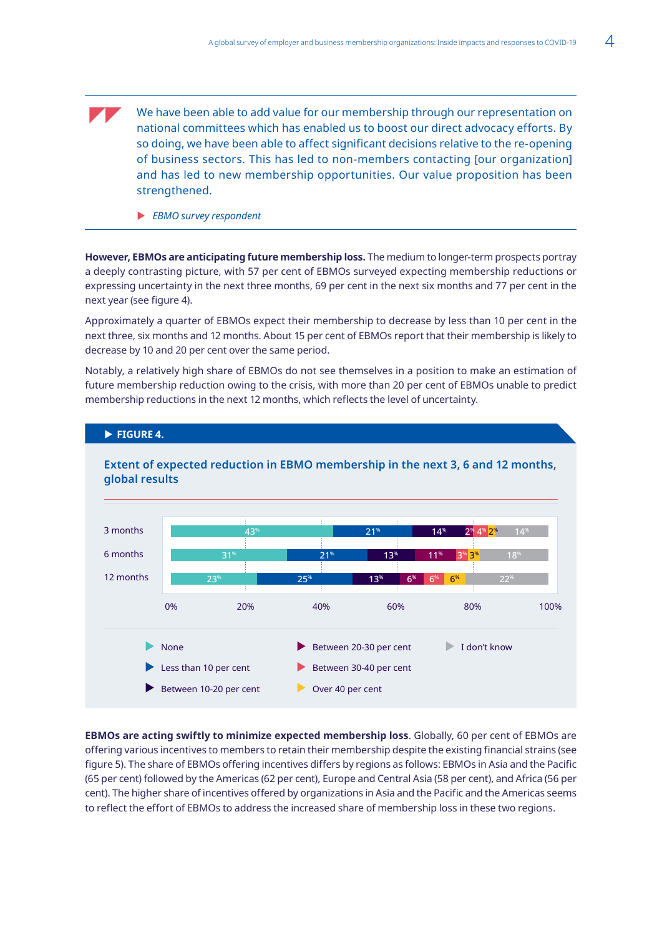<span id="page-16-0"></span>We have been able to add value for our membership through our representation on national committees which has enabled us to boost our direct advocacy efforts. By so doing, we have been able to affect significant decisions relative to the re-opening of business sectors. This has led to non-members contacting [our organization] and has led to new membership opportunities. Our value proposition has been strengthened.

**EBMO survey respondent** 

**FIGURE 4.** 

**However, EBMOs are anticipating future membership loss.** The medium to longer-term prospects portray a deeply contrasting picture, with 57 per cent of EBMOs surveyed expecting membership reductions or expressing uncertainty in the next three months, 69 per cent in the next six months and 77 per cent in the next year (see figure 4).

Approximately a quarter of EBMOs expect their membership to decrease by less than 10 per cent in the next three, six months and 12 months. About 15 per cent of EBMOs report that their membership is likely to decrease by 10 and 20 per cent over the same period.

Notably, a relatively high share of EBMOs do not see themselves in a position to make an estimation of future membership reduction owing to the crisis, with more than 20 per cent of EBMOs unable to predict membership reductions in the next 12 months, which reflects the level of uncertainty.



## **Extent of expected reduction in EBMO membership in the next 3, 6 and 12 months, global results**

**EBMOs are acting swiftly to minimize expected membership loss**. Globally, 60 per cent of EBMOs are offering various incentives to members to retain their membership despite the existing financial strains (see figure 5). The share of EBMOs offering incentives differs by regions as follows: EBMOs in Asia and the Pacific (65 per cent) followed by the Americas (62 per cent), Europe and Central Asia (58 per cent), and Africa (56 per cent). The higher share of incentives offered by organizations in Asia and the Pacific and the Americas seems to reflect the effort of EBMOs to address the increased share of membership loss in these two regions.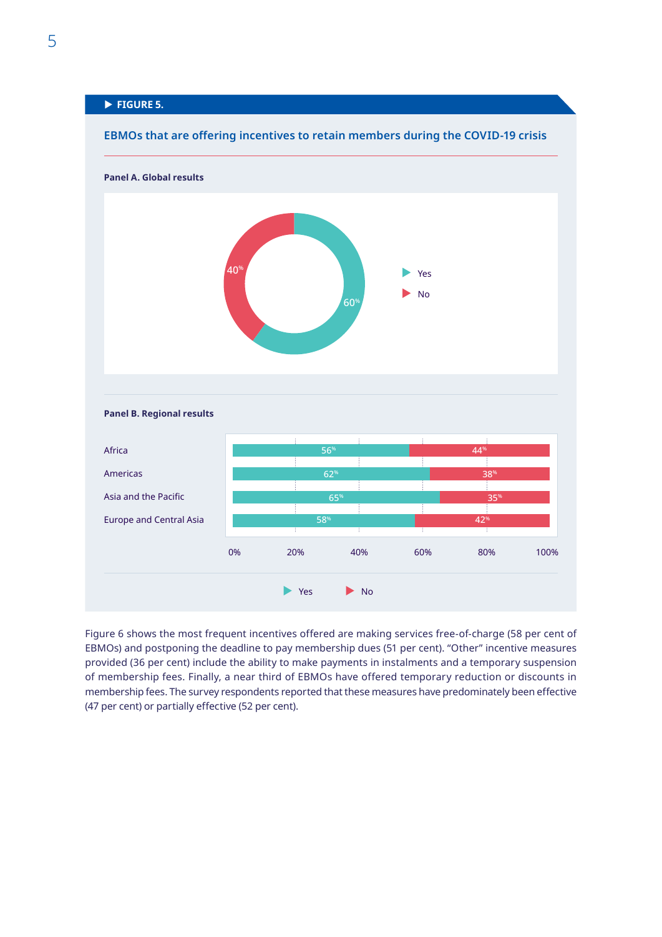## <span id="page-17-0"></span>**FIGURE 5.**



### **EBMOs that are offering incentives to retain members during the COVID-19 crisis**

Figure 6 shows the most frequent incentives offered are making services free-of-charge (58 per cent of EBMOs) and postponing the deadline to pay membership dues (51 per cent). "Other" incentive measures provided (36 per cent) include the ability to make payments in instalments and a temporary suspension of membership fees. Finally, a near third of EBMOs have offered temporary reduction or discounts in membership fees. The survey respondents reported that these measures have predominately been effective (47 per cent) or partially effective (52 per cent).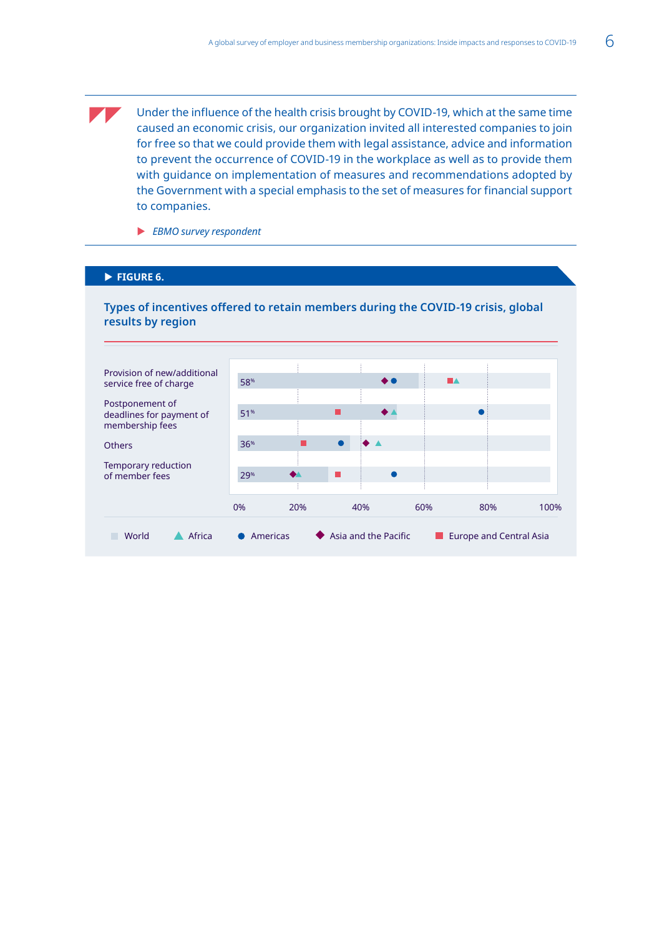<span id="page-18-0"></span>Under the influence of the health crisis brought by COVID-19, which at the same time caused an economic crisis, our organization invited all interested companies to join for free so that we could provide them with legal assistance, advice and information to prevent the occurrence of COVID-19 in the workplace as well as to provide them with guidance on implementation of measures and recommendations adopted by the Government with a special emphasis to the set of measures for financial support to companies.

**EBMO survey respondent** 

#### **FIGURE 6.**

## **Types of incentives offered to retain members during the COVID-19 crisis, global results by region**

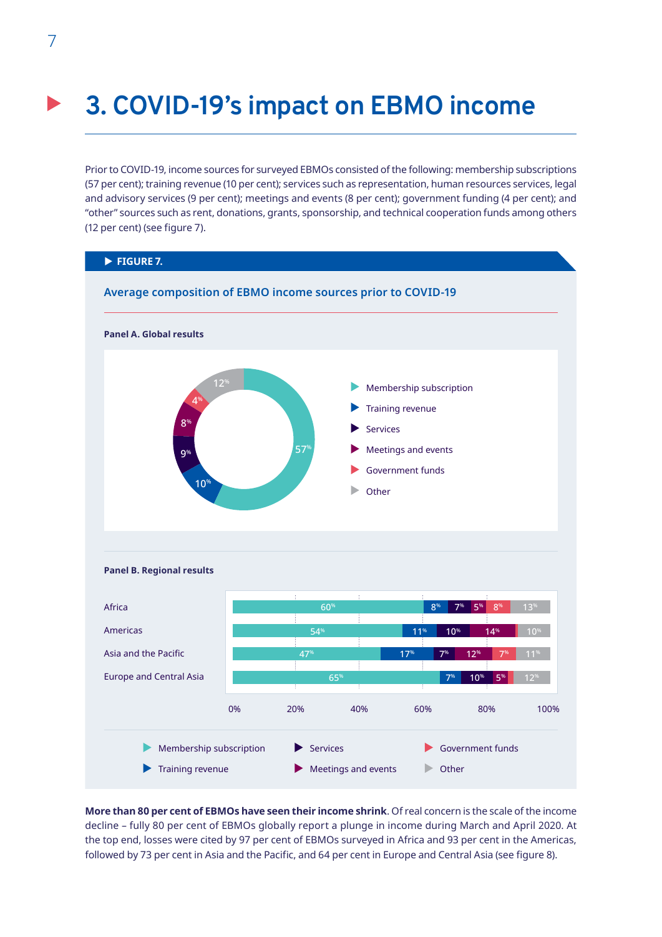## <span id="page-19-0"></span>**3. COVID-19's impact on EBMO income**

Prior to COVID-19, income sources for surveyed EBMOs consisted of the following: membership subscriptions (57 per cent); training revenue (10 per cent); services such as representation, human resources services, legal and advisory services (9 per cent); meetings and events (8 per cent); government funding (4 per cent); and "other" sources such as rent, donations, grants, sponsorship, and technical cooperation funds among others (12 per cent) (see figure 7).



**More than 80 per cent of EBMOs have seen their income shrink**. Of real concern is the scale of the income decline – fully 80 per cent of EBMOs globally report a plunge in income during March and April 2020. At the top end, losses were cited by 97 per cent of EBMOs surveyed in Africa and 93 per cent in the Americas, followed by 73 per cent in Asia and the Pacific, and 64 per cent in Europe and Central Asia (see figure 8).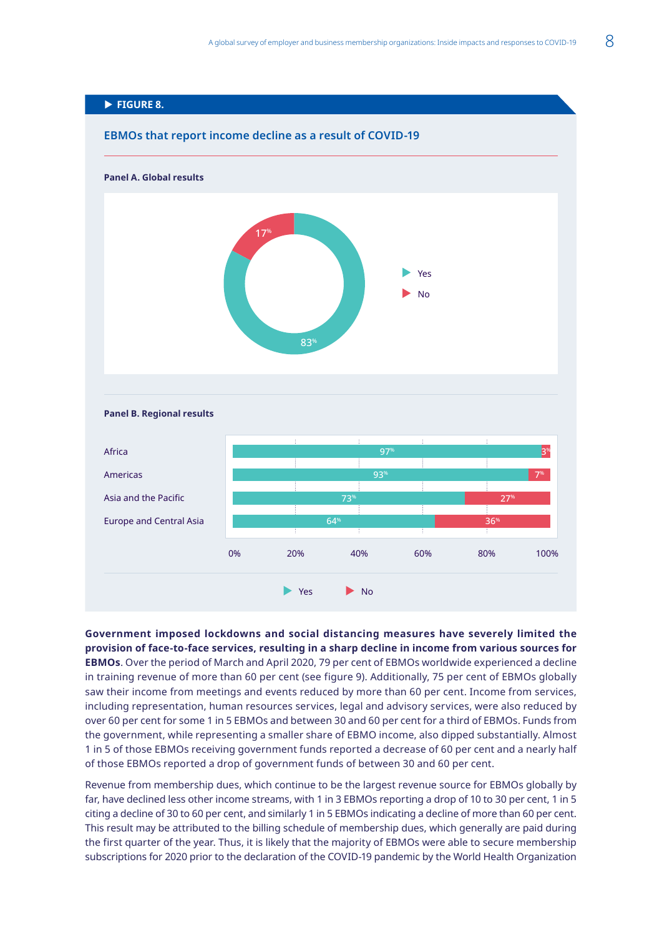<span id="page-20-0"></span>

**Government imposed lockdowns and social distancing measures have severely limited the provision of face-to-face services, resulting in a sharp decline in income from various sources for EBMOs**. Over the period of March and April 2020, 79 per cent of EBMOs worldwide experienced a decline in training revenue of more than 60 per cent (see figure 9). Additionally, 75 per cent of EBMOs globally saw their income from meetings and events reduced by more than 60 per cent. Income from services, including representation, human resources services, legal and advisory services, were also reduced by over 60 per cent for some 1 in 5 EBMOs and between 30 and 60 per cent for a third of EBMOs. Funds from the government, while representing a smaller share of EBMO income, also dipped substantially. Almost 1 in 5 of those EBMOs receiving government funds reported a decrease of 60 per cent and a nearly half of those EBMOs reported a drop of government funds of between 30 and 60 per cent.

Revenue from membership dues, which continue to be the largest revenue source for EBMOs globally by far, have declined less other income streams, with 1 in 3 EBMOs reporting a drop of 10 to 30 per cent, 1 in 5 citing a decline of 30 to 60 per cent, and similarly 1 in 5 EBMOs indicating a decline of more than 60 per cent. This result may be attributed to the billing schedule of membership dues, which generally are paid during the first quarter of the year. Thus, it is likely that the majority of EBMOs were able to secure membership subscriptions for 2020 prior to the declaration of the COVID-19 pandemic by the World Health Organization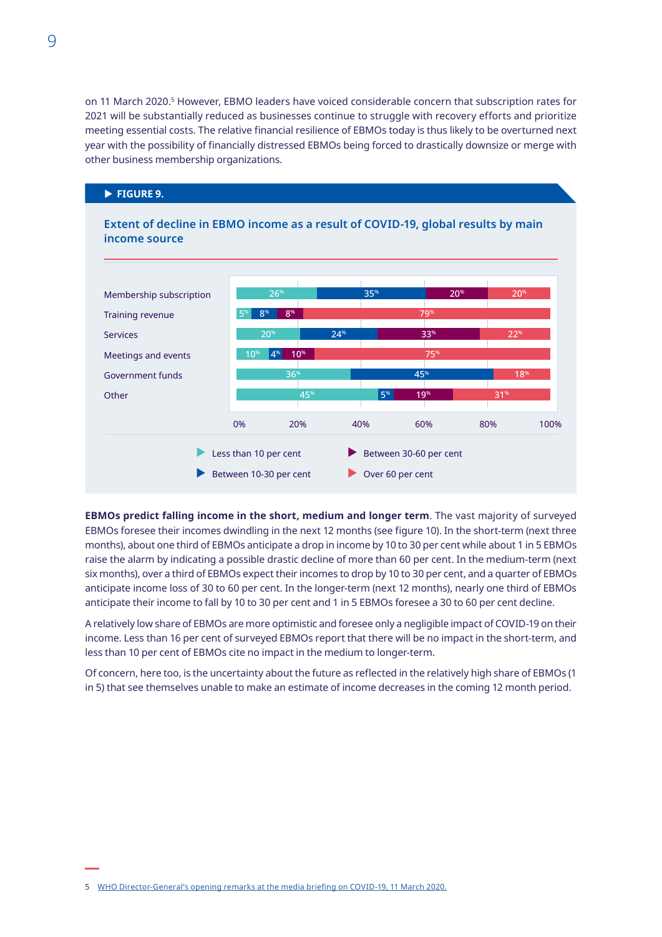<span id="page-21-0"></span>on 11 March 2020.<sup>5</sup> However, EBMO leaders have voiced considerable concern that subscription rates for 2021 will be substantially reduced as businesses continue to struggle with recovery efforts and prioritize meeting essential costs. The relative financial resilience of EBMOs today is thus likely to be overturned next year with the possibility of financially distressed EBMOs being forced to drastically downsize or merge with other business membership organizations.



**EBMOs predict falling income in the short, medium and longer term**. The vast majority of surveyed EBMOs foresee their incomes dwindling in the next 12 months (see figure 10). In the short-term (next three months), about one third of EBMOs anticipate a drop in income by 10 to 30 per cent while about 1 in 5 EBMOs raise the alarm by indicating a possible drastic decline of more than 60 per cent. In the medium-term (next six months), over a third of EBMOs expect their incomes to drop by 10 to 30 per cent, and a quarter of EBMOs anticipate income loss of 30 to 60 per cent. In the longer-term (next 12 months), nearly one third of EBMOs anticipate their income to fall by 10 to 30 per cent and 1 in 5 EBMOs foresee a 30 to 60 per cent decline.

A relatively low share of EBMOs are more optimistic and foresee only a negligible impact of COVID-19 on their income. Less than 16 per cent of surveyed EBMOs report that there will be no impact in the short-term, and less than 10 per cent of EBMOs cite no impact in the medium to longer-term.

Of concern, here too, is the uncertainty about the future as reflected in the relatively high share of EBMOs (1 in 5) that see themselves unable to make an estimate of income decreases in the coming 12 month period.

<sup>5</sup> [WHO Director-General's opening remarks at the media briefing on COVID-19, 11 March](https://www.who.int/dg/speeches/detail/who-director-general-s-opening-remarks-at-the-media-briefing-on-covid-19---11-march-2020) 2020.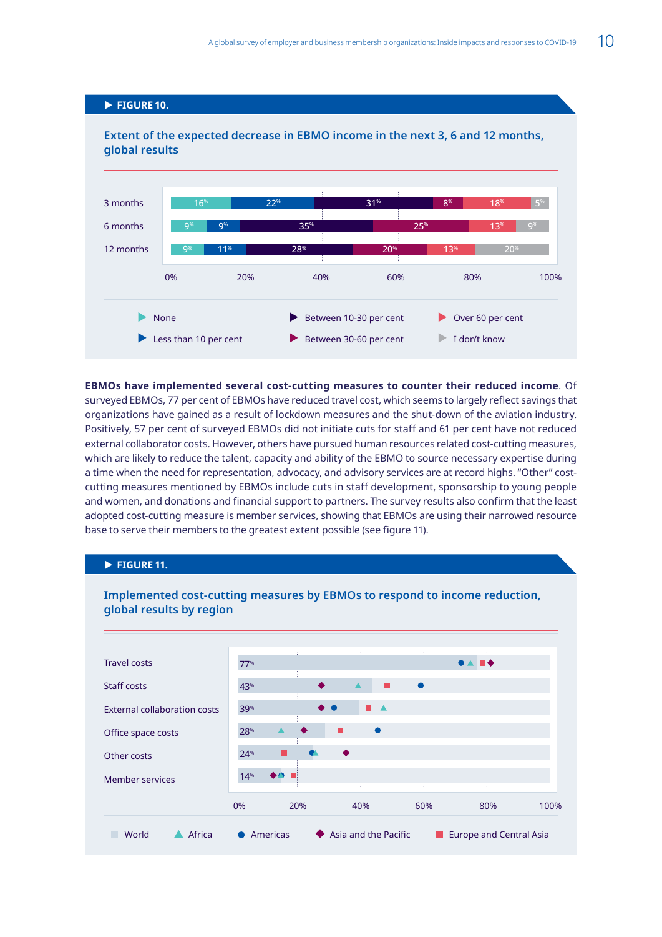## <span id="page-22-0"></span>**FIGURE 10.**

## **Extent of the expected decrease in EBMO income in the next 3, 6 and 12 months, global results**



**EBMOs have implemented several cost-cutting measures to counter their reduced income**. Of surveyed EBMOs, 77 per cent of EBMOs have reduced travel cost, which seems to largely reflect savings that organizations have gained as a result of lockdown measures and the shut-down of the aviation industry. Positively, 57 per cent of surveyed EBMOs did not initiate cuts for staff and 61 per cent have not reduced external collaborator costs. However, others have pursued human resources related cost-cutting measures, which are likely to reduce the talent, capacity and ability of the EBMO to source necessary expertise during a time when the need for representation, advocacy, and advisory services are at record highs. "Other" costcutting measures mentioned by EBMOs include cuts in staff development, sponsorship to young people and women, and donations and financial support to partners. The survey results also confirm that the least adopted cost-cutting measure is member services, showing that EBMOs are using their narrowed resource base to serve their members to the greatest extent possible (see figure 11).

## **FIGURE 11.**



**Implemented cost-cutting measures by EBMOs to respond to income reduction, global results by region**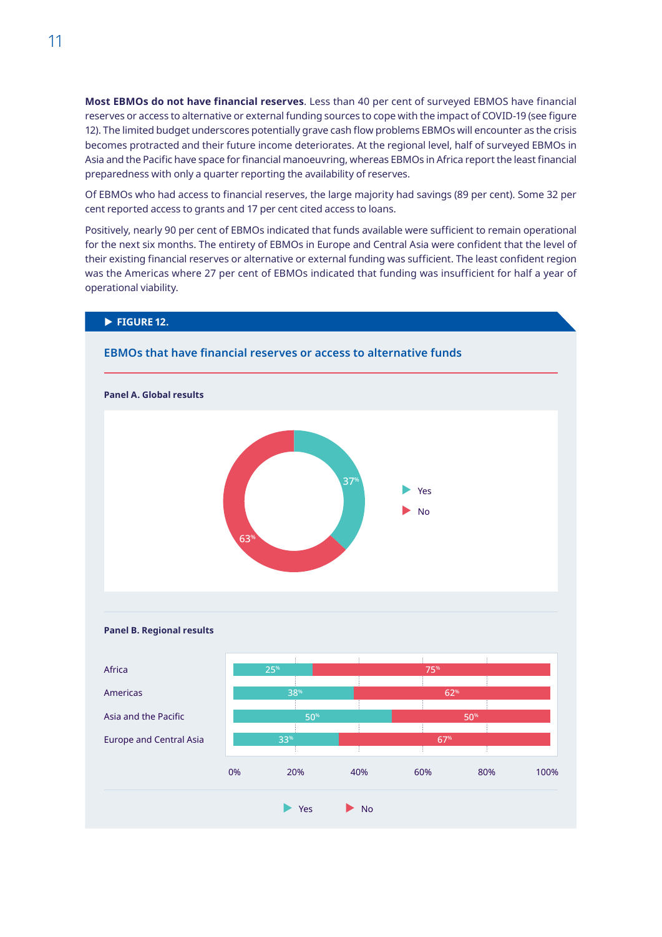<span id="page-23-0"></span>**Most EBMOs do not have financial reserves**. Less than 40 per cent of surveyed EBMOS have financial reserves or access to alternative or external funding sources to cope with the impact of COVID-19 (see figure 12). The limited budget underscores potentially grave cash flow problems EBMOs will encounter as the crisis becomes protracted and their future income deteriorates. At the regional level, half of surveyed EBMOs in Asia and the Pacific have space for financial manoeuvring, whereas EBMOs in Africa report the least financial preparedness with only a quarter reporting the availability of reserves.

Of EBMOs who had access to financial reserves, the large majority had savings (89 per cent). Some 32 per cent reported access to grants and 17 per cent cited access to loans.

Positively, nearly 90 per cent of EBMOs indicated that funds available were sufficient to remain operational for the next six months. The entirety of EBMOs in Europe and Central Asia were confident that the level of their existing financial reserves or alternative or external funding was sufficient. The least confident region was the Americas where 27 per cent of EBMOs indicated that funding was insufficient for half a year of operational viability.

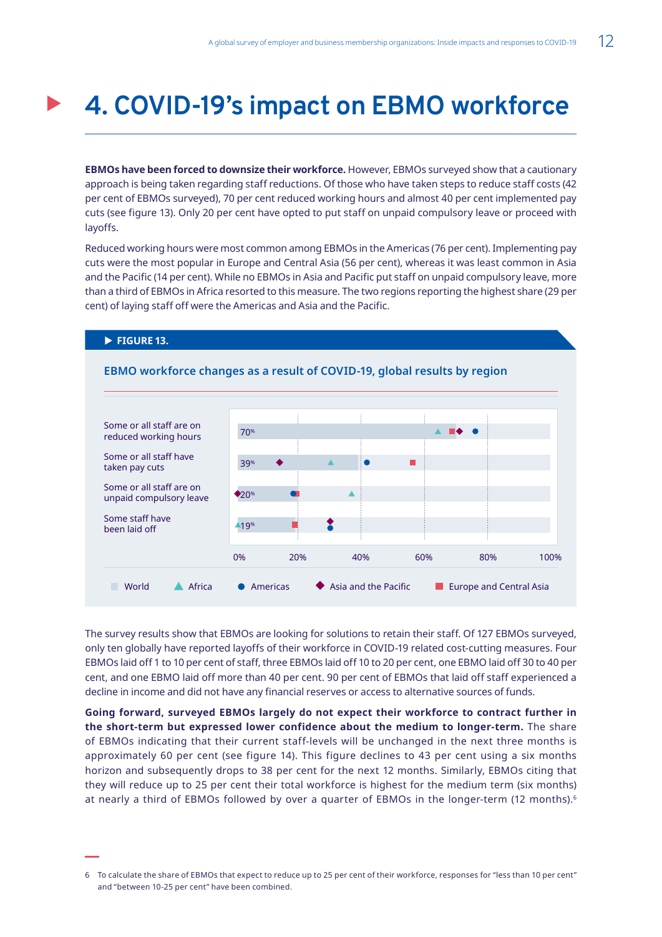## <span id="page-24-0"></span>**4. COVID-19's impact on EBMO workforce**

**EBMOs have been forced to downsize their workforce.** However, EBMOs surveyed show that a cautionary approach is being taken regarding staff reductions. Of those who have taken steps to reduce staff costs (42 per cent of EBMOs surveyed), 70 per cent reduced working hours and almost 40 per cent implemented pay cuts (see figure 13). Only 20 per cent have opted to put staff on unpaid compulsory leave or proceed with layoffs.

Reduced working hours were most common among EBMOs in the Americas (76 per cent). Implementing pay cuts were the most popular in Europe and Central Asia (56 per cent), whereas it was least common in Asia and the Pacific (14 per cent). While no EBMOs in Asia and Pacific put staff on unpaid compulsory leave, more than a third of EBMOs in Africa resorted to this measure. The two regions reporting the highest share (29 per cent) of laying staff off were the Americas and Asia and the Pacific.

**FIGURE 13.** 



The survey results show that EBMOs are looking for solutions to retain their staff. Of 127 EBMOs surveyed, only ten globally have reported layoffs of their workforce in COVID-19 related cost-cutting measures. Four EBMOs laid off 1 to 10 per cent of staff, three EBMOs laid off 10 to 20 per cent, one EBMO laid off 30 to 40 per cent, and one EBMO laid off more than 40 per cent. 90 per cent of EBMOs that laid off staff experienced a decline in income and did not have any financial reserves or access to alternative sources of funds.

**Going forward, surveyed EBMOs largely do not expect their workforce to contract further in the short-term but expressed lower confidence about the medium to longer-term.** The share of EBMOs indicating that their current staff-levels will be unchanged in the next three months is approximately 60 per cent (see figure 14). This figure declines to 43 per cent using a six months horizon and subsequently drops to 38 per cent for the next 12 months. Similarly, EBMOs citing that they will reduce up to 25 per cent their total workforce is highest for the medium term (six months) at nearly a third of EBMOs followed by over a quarter of EBMOs in the longer-term (12 months).<sup>6</sup>

<sup>6</sup> To calculate the share of EBMOs that expect to reduce up to 25 per cent of their workforce, responses for "less than 10 per cent" and "between 10-25 per cent" have been combined.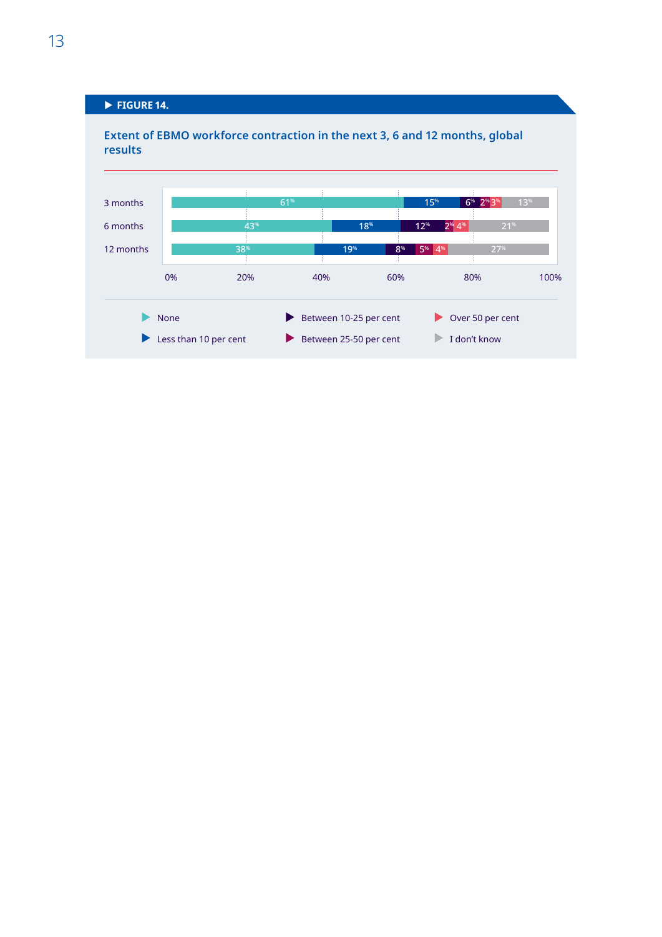## <span id="page-25-0"></span> $\blacktriangleright$  FIGURE 14.

**Extent of EBMO workforce contraction in the next 3, 6 and 12 months, global results**

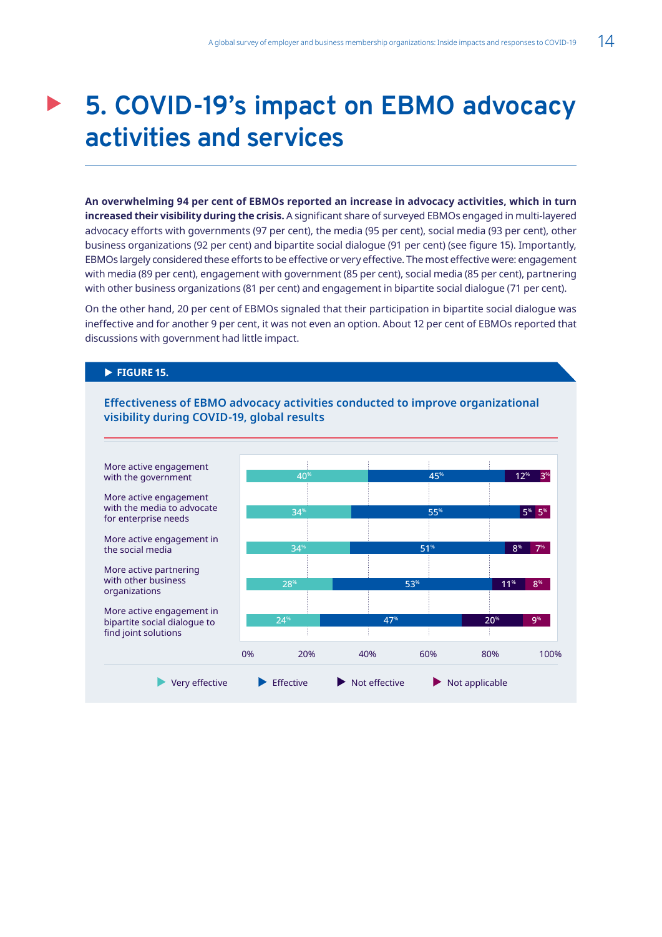## <span id="page-26-0"></span>**5. COVID-19's impact on EBMO advocacy activities and services**

**An overwhelming 94 per cent of EBMOs reported an increase in advocacy activities, which in turn increased their visibility during the crisis.** A significant share of surveyed EBMOs engaged in multi-layered advocacy efforts with governments (97 per cent), the media (95 per cent), social media (93 per cent), other business organizations (92 per cent) and bipartite social dialogue (91 per cent) (see figure 15). Importantly, EBMOs largely considered these efforts to be effective or very effective. The most effective were: engagement with media (89 per cent), engagement with government (85 per cent), social media (85 per cent), partnering with other business organizations (81 per cent) and engagement in bipartite social dialogue (71 per cent).

On the other hand, 20 per cent of EBMOs signaled that their participation in bipartite social dialogue was ineffective and for another 9 per cent, it was not even an option. About 12 per cent of EBMOs reported that discussions with government had little impact.

### **FIGURE 15.**

**Effectiveness of EBMO advocacy activities conducted to improve organizational visibility during COVID-19, global results**

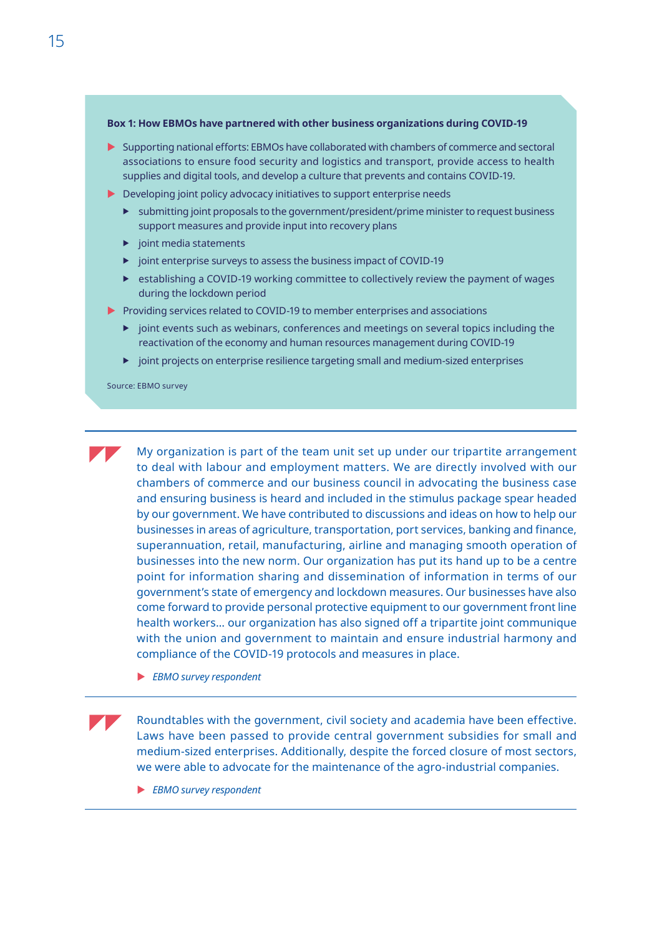#### **Box 1: How EBMOs have partnered with other business organizations during COVID-19**

- $\triangleright$  Supporting national efforts: EBMOs have collaborated with chambers of commerce and sectoral associations to ensure food security and logistics and transport, provide access to health supplies and digital tools, and develop a culture that prevents and contains COVID-19.
- $\blacktriangleright$  Developing joint policy advocacy initiatives to support enterprise needs
	- $\blacktriangleright$  submitting joint proposals to the government/president/prime minister to request business support measures and provide input into recovery plans
	- $\blacktriangleright$  joint media statements
	- $\blacktriangleright$  joint enterprise surveys to assess the business impact of COVID-19
	- $\triangleright$  establishing a COVID-19 working committee to collectively review the payment of wages during the lockdown period
- $\blacktriangleright$  Providing services related to COVID-19 to member enterprises and associations
	- $\triangleright$  joint events such as webinars, conferences and meetings on several topics including the reactivation of the economy and human resources management during COVID-19
	- $\blacktriangleright$  joint projects on enterprise resilience targeting small and medium-sized enterprises

Source: EBMO survey

My organization is part of the team unit set up under our tripartite arrangement to deal with labour and employment matters. We are directly involved with our chambers of commerce and our business council in advocating the business case and ensuring business is heard and included in the stimulus package spear headed by our government. We have contributed to discussions and ideas on how to help our businesses in areas of agriculture, transportation, port services, banking and finance, superannuation, retail, manufacturing, airline and managing smooth operation of businesses into the new norm. Our organization has put its hand up to be a centre point for information sharing and dissemination of information in terms of our government's state of emergency and lockdown measures. Our businesses have also come forward to provide personal protective equipment to our government front line health workers… our organization has also signed off a tripartite joint communique with the union and government to maintain and ensure industrial harmony and compliance of the COVID-19 protocols and measures in place.

**EBMO survey respondent** 

Roundtables with the government, civil society and academia have been effective. Laws have been passed to provide central government subsidies for small and medium-sized enterprises. Additionally, despite the forced closure of most sectors, we were able to advocate for the maintenance of the agro-industrial companies.

**EBMO survey respondent**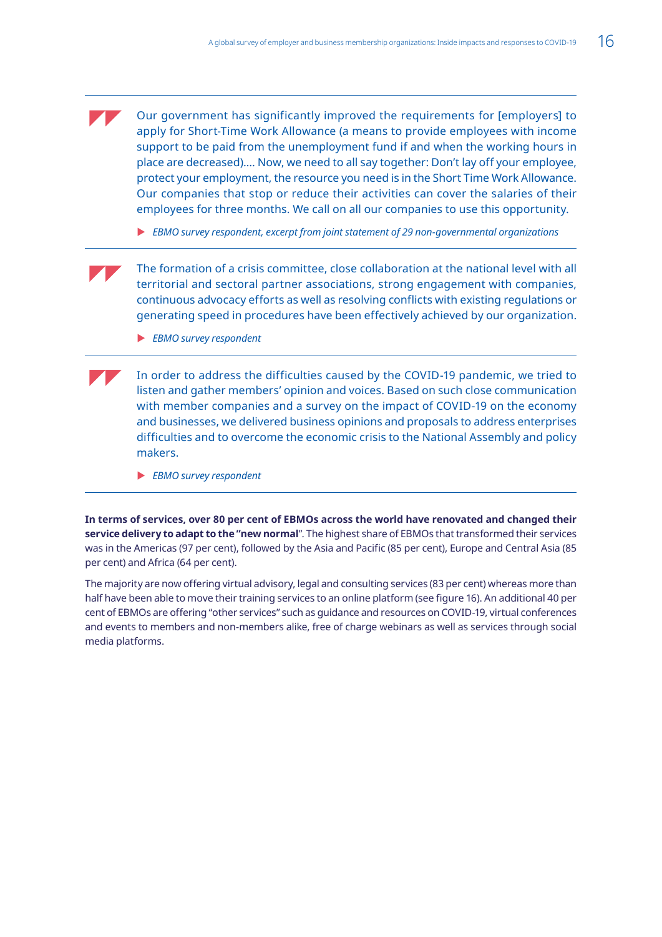Our government has significantly improved the requirements for [employers] to apply for Short-Time Work Allowance (a means to provide employees with income support to be paid from the unemployment fund if and when the working hours in place are decreased)…. Now, we need to all say together: Don't lay off your employee, protect your employment, the resource you need is in the Short Time Work Allowance. Our companies that stop or reduce their activities can cover the salaries of their employees for three months. We call on all our companies to use this opportunity.

▶ *EBMO survey respondent, excerpt from joint statement of 29 non-governmental organizations* 

The formation of a crisis committee, close collaboration at the national level with all territorial and sectoral partner associations, strong engagement with companies, continuous advocacy efforts as well as resolving conflicts with existing regulations or generating speed in procedures have been effectively achieved by our organization.

**EBMO survey respondent** 

In order to address the difficulties caused by the COVID-19 pandemic, we tried to listen and gather members' opinion and voices. Based on such close communication with member companies and a survey on the impact of COVID-19 on the economy and businesses, we delivered business opinions and proposals to address enterprises difficulties and to overcome the economic crisis to the National Assembly and policy makers.

**EBMO survey respondent** 

**In terms of services, over 80 per cent of EBMOs across the world have renovated and changed their service delivery to adapt to the "new normal**". The highest share of EBMOs that transformed their services was in the Americas (97 per cent), followed by the Asia and Pacific (85 per cent), Europe and Central Asia (85 per cent) and Africa (64 per cent).

The majority are now offering virtual advisory, legal and consulting services (83 per cent) whereas more than half have been able to move their training services to an online platform (see figure 16). An additional 40 per cent of EBMOs are offering "other services" such as guidance and resources on COVID-19, virtual conferences and events to members and non-members alike, free of charge webinars as well as services through social media platforms.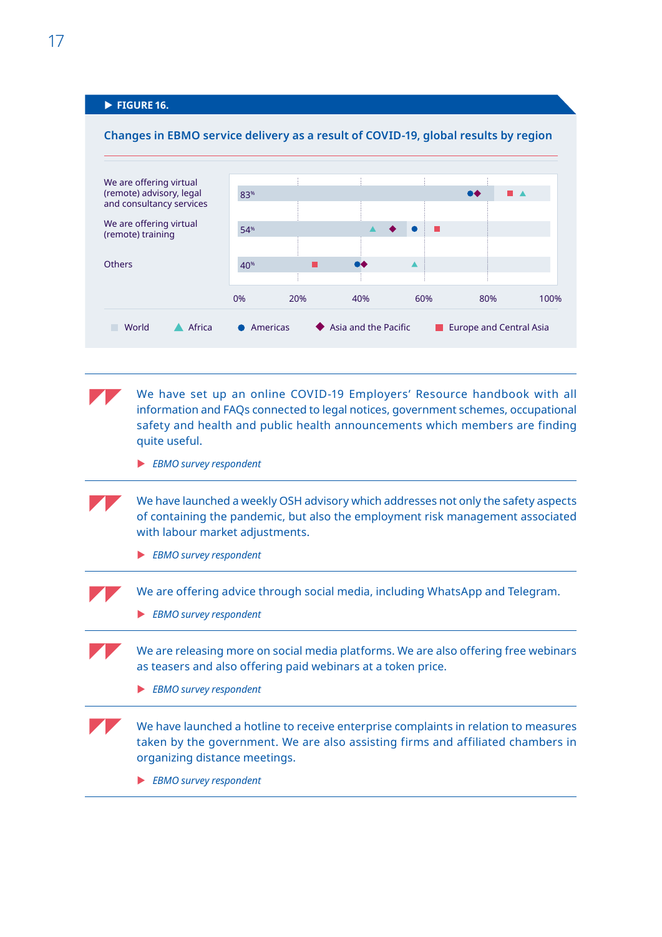## **FIGURE 16.**

<span id="page-29-0"></span>

We have set up an online COVID-19 Employers' Resource handbook with all information and FAQs connected to legal notices, government schemes, occupational safety and health and public health announcements which members are finding quite useful.

**EBMO survey respondent** 

We have launched a weekly OSH advisory which addresses not only the safety aspects of containing the pandemic, but also the employment risk management associated with labour market adjustments.

**EBMO survey respondent** 

We are offering advice through social media, including WhatsApp and Telegram.

**EBMO survey respondent** 

We are releasing more on social media platforms. We are also offering free webinars as teasers and also offering paid webinars at a token price.

**EBMO survey respondent** 

We have launched a hotline to receive enterprise complaints in relation to measures taken by the government. We are also assisting firms and affiliated chambers in organizing distance meetings.

**EBMO survey respondent**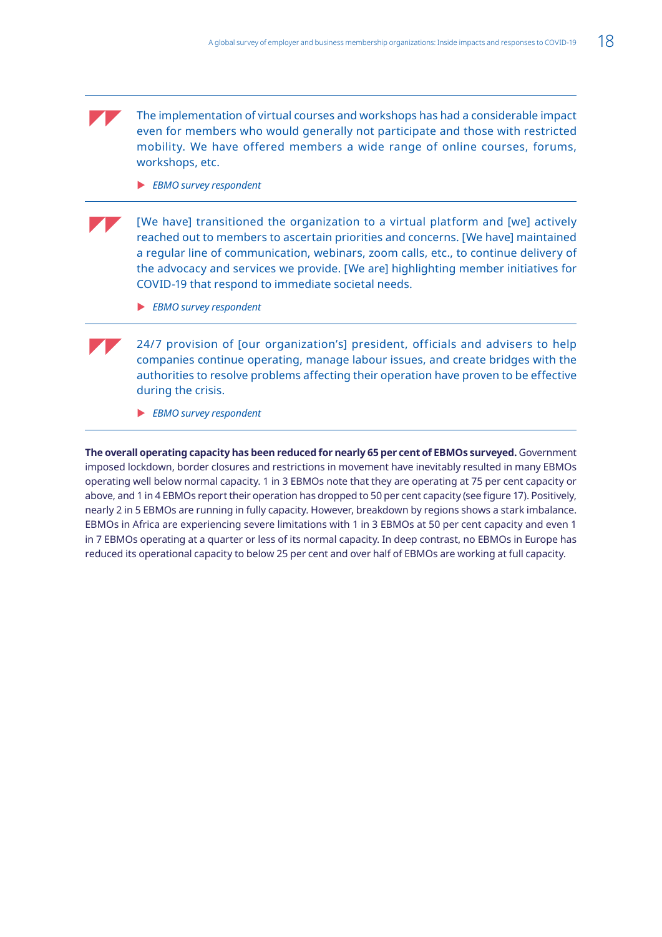The implementation of virtual courses and workshops has had a considerable impact even for members who would generally not participate and those with restricted mobility. We have offered members a wide range of online courses, forums, workshops, etc.

**EBMO survey respondent** 

[We have] transitioned the organization to a virtual platform and [we] actively reached out to members to ascertain priorities and concerns. [We have] maintained a regular line of communication, webinars, zoom calls, etc., to continue delivery of the advocacy and services we provide. [We are] highlighting member initiatives for COVID-19 that respond to immediate societal needs.

**EBMO survey respondent** 

24/7 provision of [our organization's] president, officials and advisers to help companies continue operating, manage labour issues, and create bridges with the authorities to resolve problems affecting their operation have proven to be effective during the crisis.

**EBMO survey respondent** 

**The overall operating capacity has been reduced for nearly 65 per cent of EBMOs surveyed.** Government imposed lockdown, border closures and restrictions in movement have inevitably resulted in many EBMOs operating well below normal capacity. 1 in 3 EBMOs note that they are operating at 75 per cent capacity or above, and 1 in 4 EBMOs report their operation has dropped to 50 per cent capacity (see figure 17). Positively, nearly 2 in 5 EBMOs are running in fully capacity. However, breakdown by regions shows a stark imbalance. EBMOs in Africa are experiencing severe limitations with 1 in 3 EBMOs at 50 per cent capacity and even 1 in 7 EBMOs operating at a quarter or less of its normal capacity. In deep contrast, no EBMOs in Europe has reduced its operational capacity to below 25 per cent and over half of EBMOs are working at full capacity.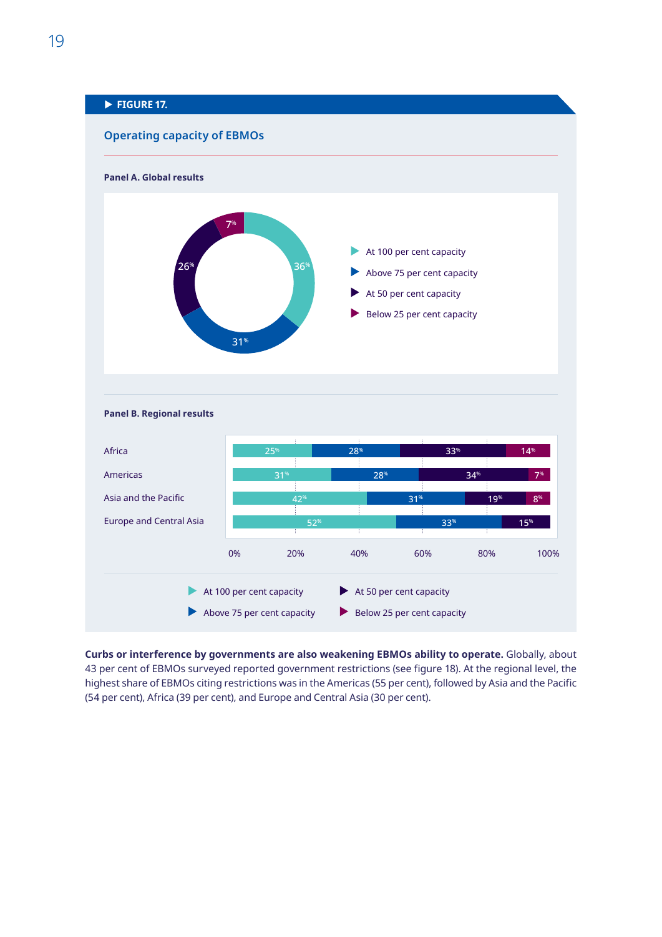# <span id="page-31-0"></span>**FIGURE 17. Operating capacity of EBMOs Panel A. Global results**





**Curbs or interference by governments are also weakening EBMOs ability to operate.** Globally, about 43 per cent of EBMOs surveyed reported government restrictions (see figure 18). At the regional level, the highest share of EBMOs citing restrictions was in the Americas (55 per cent), followed by Asia and the Pacific (54 per cent), Africa (39 per cent), and Europe and Central Asia (30 per cent).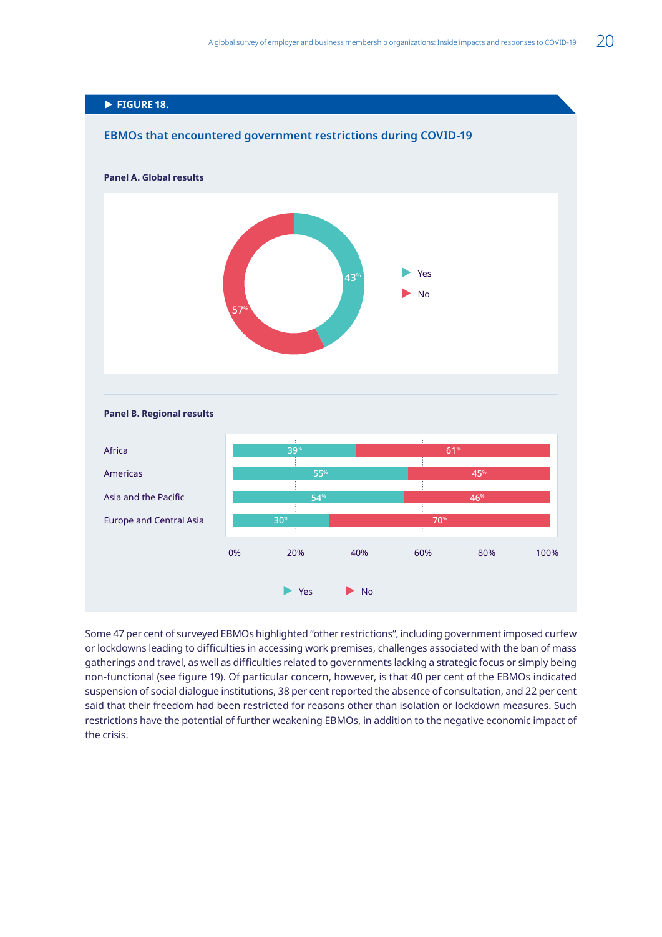<span id="page-32-0"></span>

Some 47 per cent of surveyed EBMOs highlighted "other restrictions", including government imposed curfew or lockdowns leading to difficulties in accessing work premises, challenges associated with the ban of mass gatherings and travel, as well as difficulties related to governments lacking a strategic focus or simply being non-functional (see figure 19). Of particular concern, however, is that 40 per cent of the EBMOs indicated suspension of social dialogue institutions, 38 per cent reported the absence of consultation, and 22 per cent said that their freedom had been restricted for reasons other than isolation or lockdown measures. Such restrictions have the potential of further weakening EBMOs, in addition to the negative economic impact of the crisis.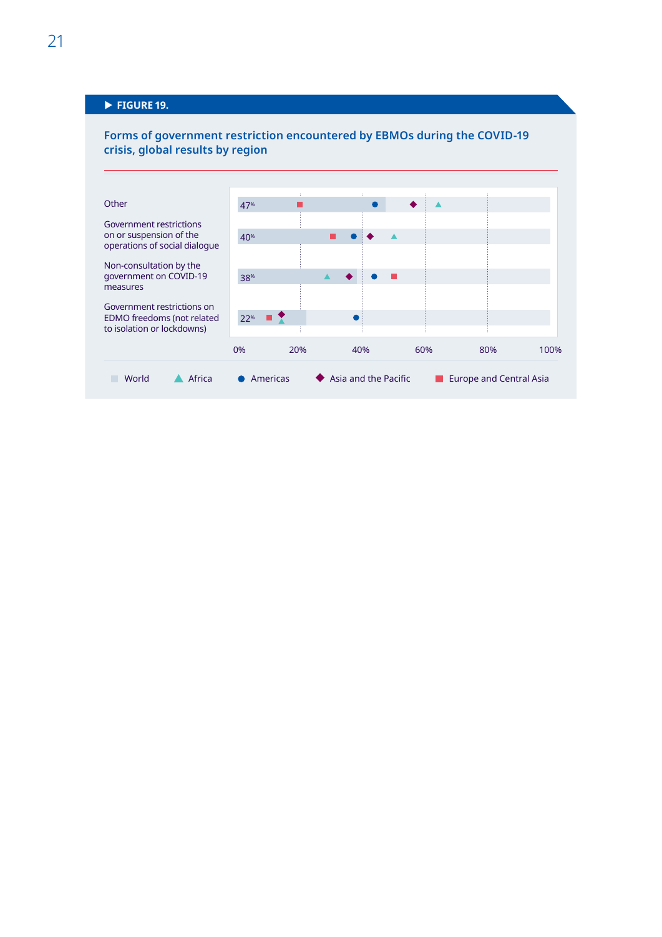## <span id="page-33-0"></span>**FIGURE 19.**

## **Forms of government restriction encountered by EBMOs during the COVID-19 crisis, global results by region**

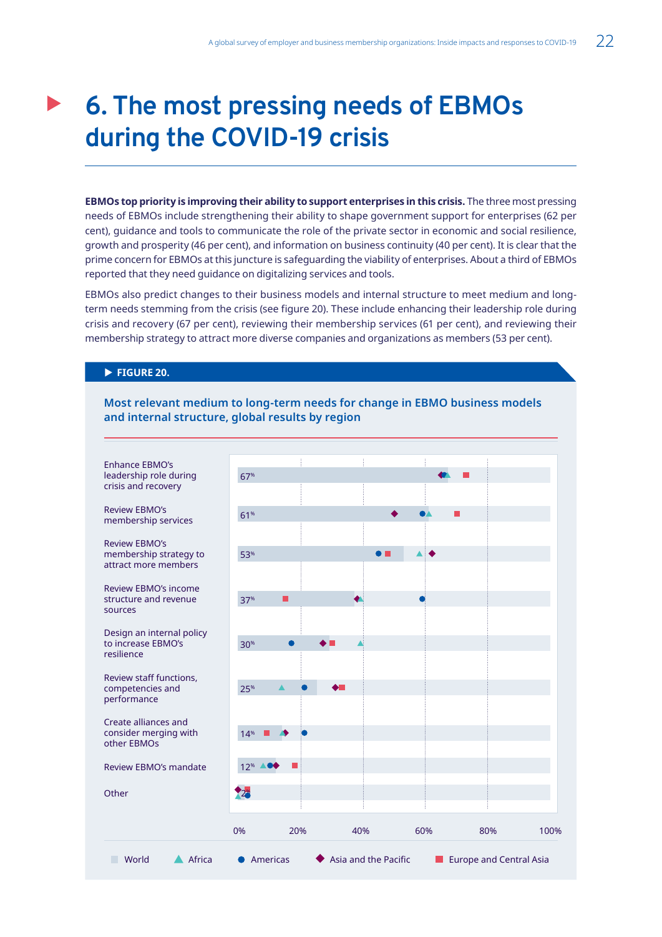## <span id="page-34-0"></span>**6. The most pressing needs of EBMOs during the COVID-19 crisis**

**EBMOs top priority is improving their ability to support enterprises in this crisis.** The three most pressing needs of EBMOs include strengthening their ability to shape government support for enterprises (62 per cent), guidance and tools to communicate the role of the private sector in economic and social resilience, growth and prosperity (46 per cent), and information on business continuity (40 per cent). It is clear that the prime concern for EBMOs at this juncture is safeguarding the viability of enterprises. About a third of EBMOs reported that they need guidance on digitalizing services and tools.

EBMOs also predict changes to their business models and internal structure to meet medium and longterm needs stemming from the crisis (see figure 20). These include enhancing their leadership role during crisis and recovery (67 per cent), reviewing their membership services (61 per cent), and reviewing their membership strategy to attract more diverse companies and organizations as members (53 per cent).

### **FIGURE 20.**

**Most relevant medium to long-term needs for change in EBMO business models and internal structure, global results by region**

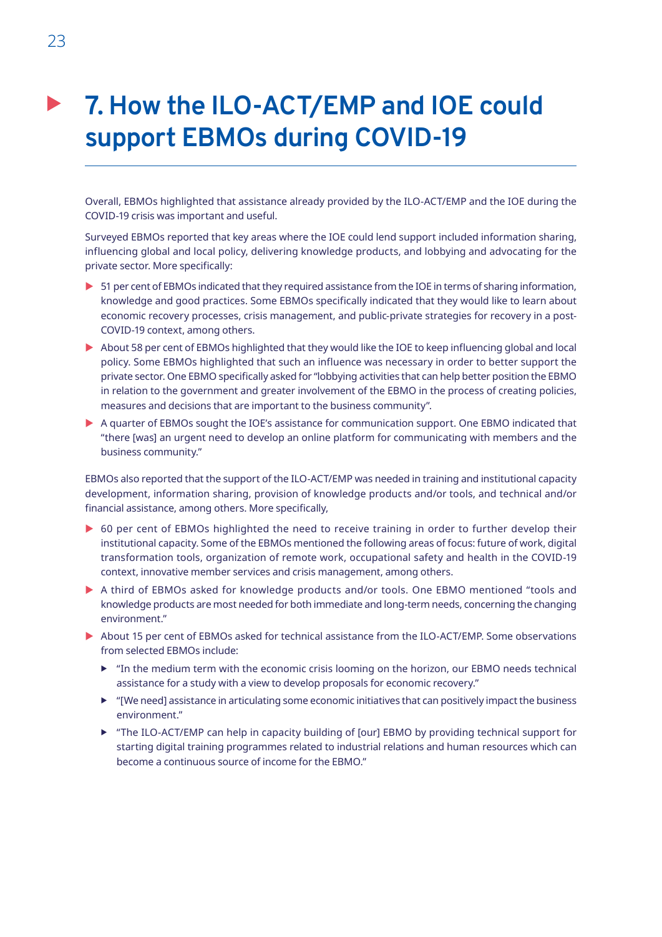## <span id="page-35-0"></span>**7. How the ILO-ACT/EMP and IOE could support EBMOs during COVID-19**

Overall, EBMOs highlighted that assistance already provided by the ILO-ACT/EMP and the IOE during the COVID-19 crisis was important and useful.

Surveyed EBMOs reported that key areas where the IOE could lend support included information sharing, influencing global and local policy, delivering knowledge products, and lobbying and advocating for the private sector. More specifically:

- ▶ 51 per cent of EBMOs indicated that they required assistance from the IOE in terms of sharing information, knowledge and good practices. Some EBMOs specifically indicated that they would like to learn about economic recovery processes, crisis management, and public-private strategies for recovery in a post-COVID-19 context, among others.
- $\triangleright$  About 58 per cent of EBMOs highlighted that they would like the IOE to keep influencing global and local policy. Some EBMOs highlighted that such an influence was necessary in order to better support the private sector. One EBMO specifically asked for "lobbying activities that can help better position the EBMO in relation to the government and greater involvement of the EBMO in the process of creating policies, measures and decisions that are important to the business community".
- A quarter of EBMOs sought the IOE's assistance for communication support. One EBMO indicated that "there [was] an urgent need to develop an online platform for communicating with members and the business community."

EBMOs also reported that the support of the ILO-ACT/EMP was needed in training and institutional capacity development, information sharing, provision of knowledge products and/or tools, and technical and/or financial assistance, among others. More specifically,

- ▶ 60 per cent of EBMOs highlighted the need to receive training in order to further develop their institutional capacity. Some of the EBMOs mentioned the following areas of focus: future of work, digital transformation tools, organization of remote work, occupational safety and health in the COVID-19 context, innovative member services and crisis management, among others.
- A third of EBMOs asked for knowledge products and/or tools. One EBMO mentioned "tools and knowledge products are most needed for both immediate and long-term needs, concerning the changing environment."
- ▶ About 15 per cent of EBMOs asked for technical assistance from the ILO-ACT/EMP. Some observations from selected EBMOs include:
	- $\blacktriangleright$  "In the medium term with the economic crisis looming on the horizon, our EBMO needs technical assistance for a study with a view to develop proposals for economic recovery."
	- $\blacktriangleright$  "[We need] assistance in articulating some economic initiatives that can positively impact the business environment."
	- $\triangleright$  "The ILO-ACT/EMP can help in capacity building of [our] EBMO by providing technical support for starting digital training programmes related to industrial relations and human resources which can become a continuous source of income for the EBMO."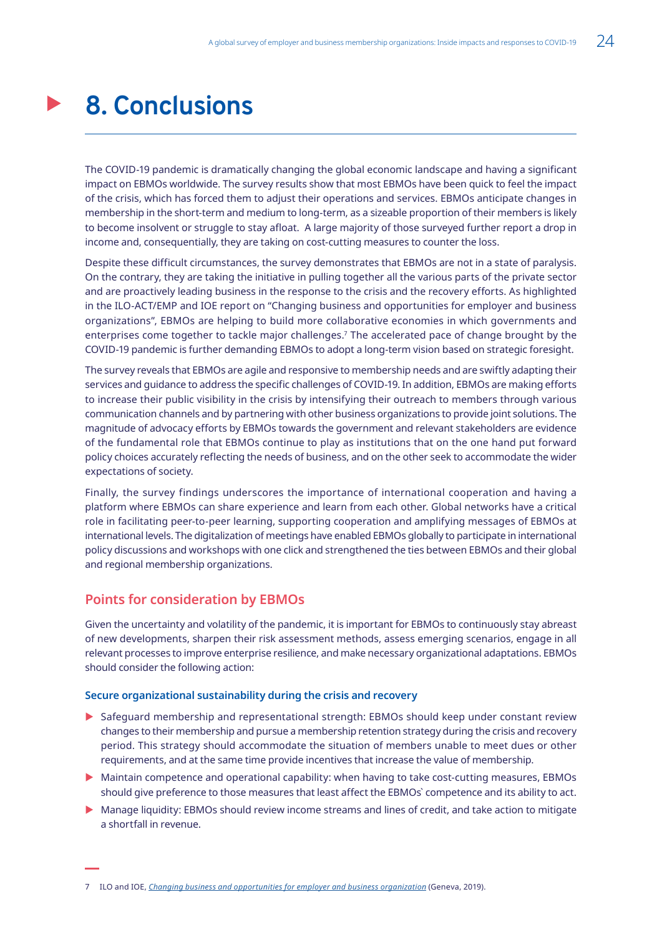## <span id="page-36-0"></span>**8. Conclusions**

The COVID-19 pandemic is dramatically changing the global economic landscape and having a significant impact on EBMOs worldwide. The survey results show that most EBMOs have been quick to feel the impact of the crisis, which has forced them to adjust their operations and services. EBMOs anticipate changes in membership in the short-term and medium to long-term, as a sizeable proportion of their members is likely to become insolvent or struggle to stay afloat. A large majority of those surveyed further report a drop in income and, consequentially, they are taking on cost-cutting measures to counter the loss.

Despite these difficult circumstances, the survey demonstrates that EBMOs are not in a state of paralysis. On the contrary, they are taking the initiative in pulling together all the various parts of the private sector and are proactively leading business in the response to the crisis and the recovery efforts. As highlighted in the ILO-ACT/EMP and IOE report on "Changing business and opportunities for employer and business organizations", EBMOs are helping to build more collaborative economies in which governments and enterprises come together to tackle major challenges.7 The accelerated pace of change brought by the COVID-19 pandemic is further demanding EBMOs to adopt a long-term vision based on strategic foresight.

The survey reveals that EBMOs are agile and responsive to membership needs and are swiftly adapting their services and guidance to address the specific challenges of COVID-19. In addition, EBMOs are making efforts to increase their public visibility in the crisis by intensifying their outreach to members through various communication channels and by partnering with other business organizations to provide joint solutions. The magnitude of advocacy efforts by EBMOs towards the government and relevant stakeholders are evidence of the fundamental role that EBMOs continue to play as institutions that on the one hand put forward policy choices accurately reflecting the needs of business, and on the other seek to accommodate the wider expectations of society.

Finally, the survey findings underscores the importance of international cooperation and having a platform where EBMOs can share experience and learn from each other. Global networks have a critical role in facilitating peer-to-peer learning, supporting cooperation and amplifying messages of EBMOs at international levels. The digitalization of meetings have enabled EBMOs globally to participate in international policy discussions and workshops with one click and strengthened the ties between EBMOs and their global and regional membership organizations.

## **Points for consideration by EBMOs**

Given the uncertainty and volatility of the pandemic, it is important for EBMOs to continuously stay abreast of new developments, sharpen their risk assessment methods, assess emerging scenarios, engage in all relevant processes to improve enterprise resilience, and make necessary organizational adaptations. EBMOs should consider the following action:

#### **Secure organizational sustainability during the crisis and recovery**

- ▶ Safeguard membership and representational strength: EBMOs should keep under constant review changes to their membership and pursue a membership retention strategy during the crisis and recovery period. This strategy should accommodate the situation of members unable to meet dues or other requirements, and at the same time provide incentives that increase the value of membership.
- $\triangleright$  Maintain competence and operational capability: when having to take cost-cutting measures, EBMOs should give preference to those measures that least affect the EBMOs` competence and its ability to act.
- $\triangleright$  Manage liquidity: EBMOs should review income streams and lines of credit, and take action to mitigate a shortfall in revenue.

<sup>7</sup> ILO and IOE, *[Changing business and opportunities for employer and business organization](https://www.ilo.org/wcmsp5/groups/public/---ed_dialogue/---act_emp/documents/publication/wcms_679582.pdf)* (Geneva, 2019).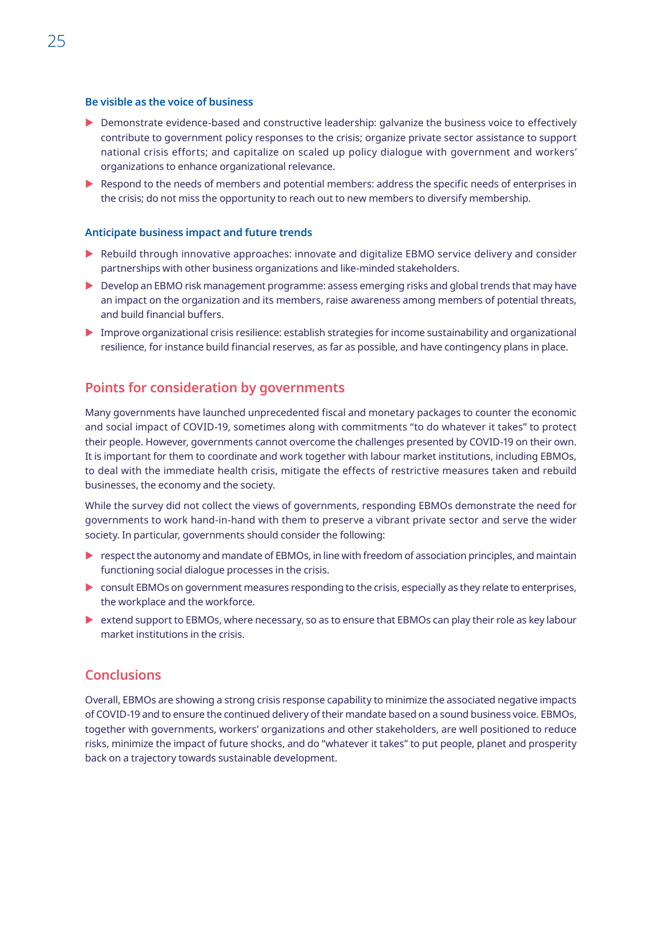#### **Be visible as the voice of business**

- $\triangleright$  Demonstrate evidence-based and constructive leadership: galvanize the business voice to effectively contribute to government policy responses to the crisis; organize private sector assistance to support national crisis efforts; and capitalize on scaled up policy dialogue with government and workers' organizations to enhance organizational relevance.
- $\triangleright$  Respond to the needs of members and potential members: address the specific needs of enterprises in the crisis; do not miss the opportunity to reach out to new members to diversify membership.

#### **Anticipate business impact and future trends**

- **EX Rebuild through innovative approaches: innovate and digitalize EBMO service delivery and consider** partnerships with other business organizations and like-minded stakeholders.
- $\triangleright$  Develop an EBMO risk management programme: assess emerging risks and global trends that may have an impact on the organization and its members, raise awareness among members of potential threats, and build financial buffers.
- $\blacktriangleright$  Improve organizational crisis resilience: establish strategies for income sustainability and organizational resilience, for instance build financial reserves, as far as possible, and have contingency plans in place.

## **Points for consideration by governments**

Many governments have launched unprecedented fiscal and monetary packages to counter the economic and social impact of COVID-19, sometimes along with commitments "to do whatever it takes" to protect their people. However, governments cannot overcome the challenges presented by COVID-19 on their own. It is important for them to coordinate and work together with labour market institutions, including EBMOs, to deal with the immediate health crisis, mitigate the effects of restrictive measures taken and rebuild businesses, the economy and the society.

While the survey did not collect the views of governments, responding EBMOs demonstrate the need for governments to work hand-in-hand with them to preserve a vibrant private sector and serve the wider society. In particular, governments should consider the following:

- $\triangleright$  respect the autonomy and mandate of EBMOs, in line with freedom of association principles, and maintain functioning social dialogue processes in the crisis.
- $\triangleright$  consult EBMOs on government measures responding to the crisis, especially as they relate to enterprises, the workplace and the workforce.
- $\triangleright$  extend support to EBMOs, where necessary, so as to ensure that EBMOs can play their role as key labour market institutions in the crisis.

## **Conclusions**

Overall, EBMOs are showing a strong crisis response capability to minimize the associated negative impacts of COVID-19 and to ensure the continued delivery of their mandate based on a sound business voice. EBMOs, together with governments, workers' organizations and other stakeholders, are well positioned to reduce risks, minimize the impact of future shocks, and do "whatever it takes" to put people, planet and prosperity back on a trajectory towards sustainable development.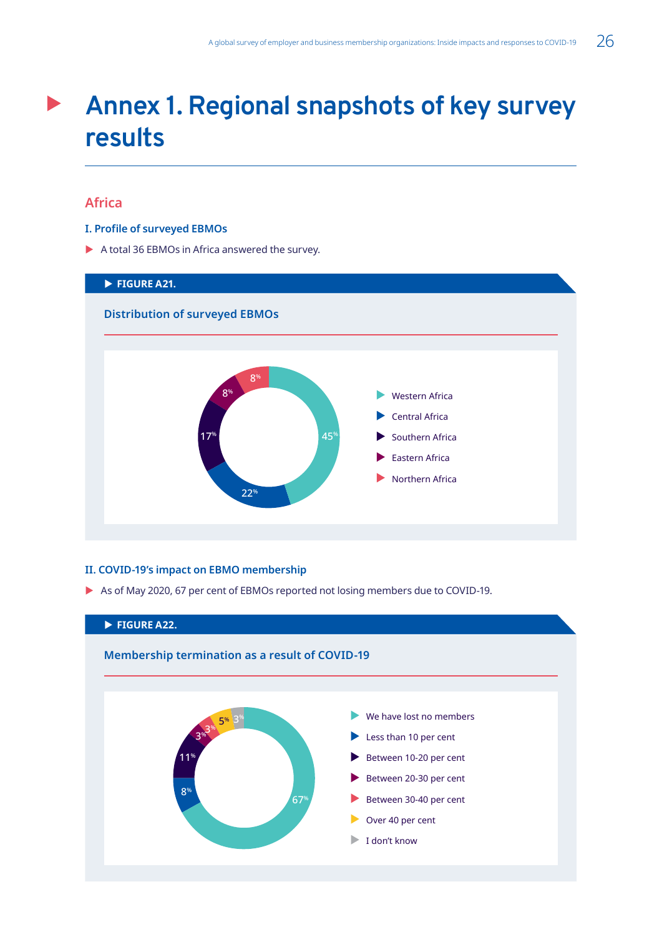## <span id="page-38-0"></span>**Annex 1. Regional snapshots of key survey results**

## **Africa**

### **I. Profile of surveyed EBMOs**

 $\blacktriangleright$  A total 36 EBMOs in Africa answered the survey.



### **II. COVID-19's impact on EBMO membership**

As of May 2020, 67 per cent of EBMOs reported not losing members due to COVID-19.

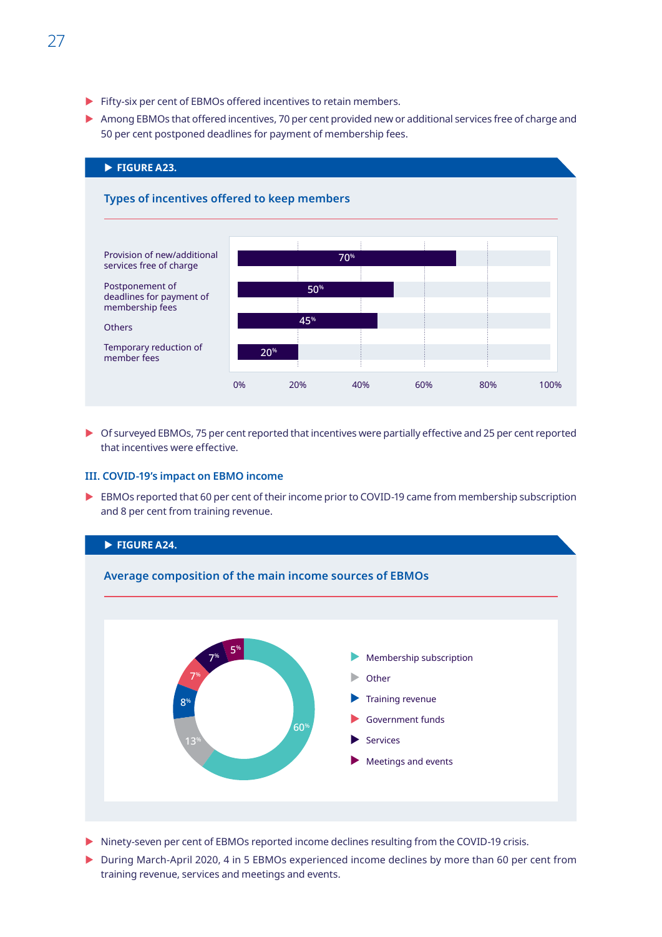- <span id="page-39-0"></span> $\blacktriangleright$  Fifty-six per cent of EBMOs offered incentives to retain members.
- $\triangleright$  Among EBMOs that offered incentives, 70 per cent provided new or additional services free of charge and 50 per cent postponed deadlines for payment of membership fees.



 $\triangleright$  Of surveyed EBMOs, 75 per cent reported that incentives were partially effective and 25 per cent reported that incentives were effective.

#### **III. COVID-19's impact on EBMO income**

EBMOs reported that 60 per cent of their income prior to COVID-19 came from membership subscription and 8 per cent from training revenue.



- **X** Ninety-seven per cent of EBMOs reported income declines resulting from the COVID-19 crisis.
- ▶ During March-April 2020, 4 in 5 EBMOs experienced income declines by more than 60 per cent from training revenue, services and meetings and events.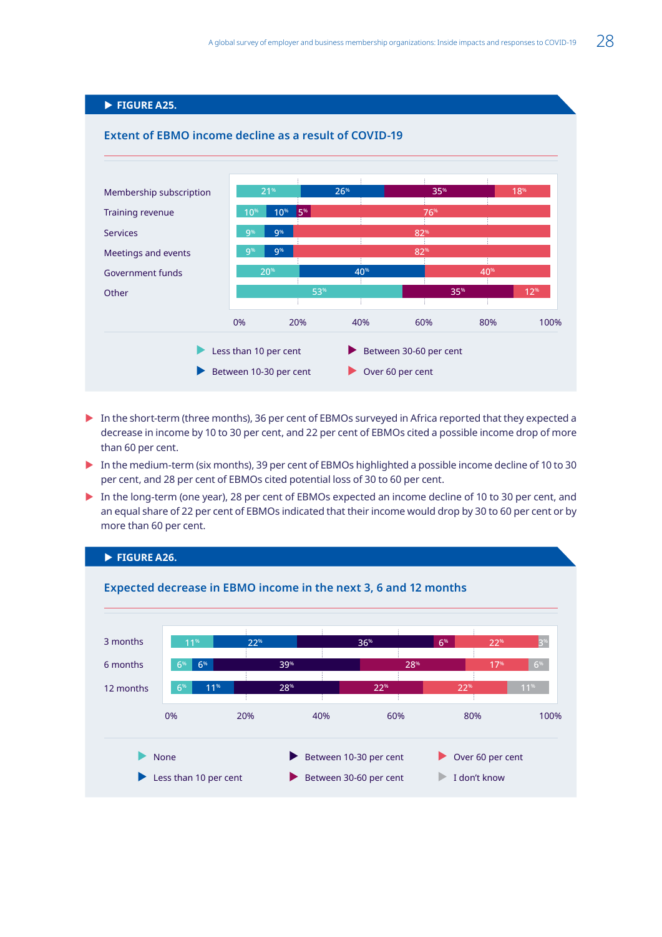## **FIGURE A25.**

<span id="page-40-0"></span>

- In the short-term (three months), 36 per cent of EBMOs surveyed in Africa reported that they expected a decrease in income by 10 to 30 per cent, and 22 per cent of EBMOs cited a possible income drop of more than 60 per cent.
- In the medium-term (six months), 39 per cent of EBMOs highlighted a possible income decline of 10 to 30 per cent, and 28 per cent of EBMOs cited potential loss of 30 to 60 per cent.
- In the long-term (one year), 28 per cent of EBMOs expected an income decline of 10 to 30 per cent, and an equal share of 22 per cent of EBMOs indicated that their income would drop by 30 to 60 per cent or by more than 60 per cent.

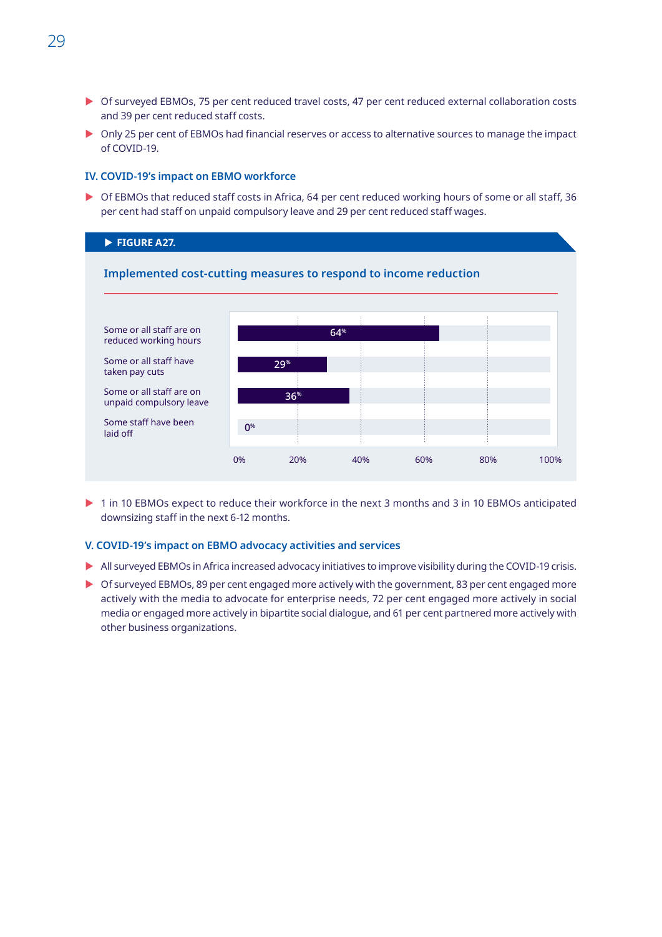- <span id="page-41-0"></span>▶ Of surveyed EBMOs, 75 per cent reduced travel costs, 47 per cent reduced external collaboration costs and 39 per cent reduced staff costs.
- $\triangleright$  Only 25 per cent of EBMOs had financial reserves or access to alternative sources to manage the impact of COVID-19.

#### **IV. COVID-19's impact on EBMO workforce**

▶ Of EBMOs that reduced staff costs in Africa, 64 per cent reduced working hours of some or all staff, 36 per cent had staff on unpaid compulsory leave and 29 per cent reduced staff wages.

### **FIGURE A27.**



1 in 10 EBMOs expect to reduce their workforce in the next 3 months and 3 in 10 EBMOs anticipated downsizing staff in the next 6-12 months.

#### **V. COVID-19's impact on EBMO advocacy activities and services**

- $\triangleright$  All surveyed EBMOs in Africa increased advocacy initiatives to improve visibility during the COVID-19 crisis.
- ▶ Of surveyed EBMOs, 89 per cent engaged more actively with the government, 83 per cent engaged more actively with the media to advocate for enterprise needs, 72 per cent engaged more actively in social media or engaged more actively in bipartite social dialogue, and 61 per cent partnered more actively with other business organizations.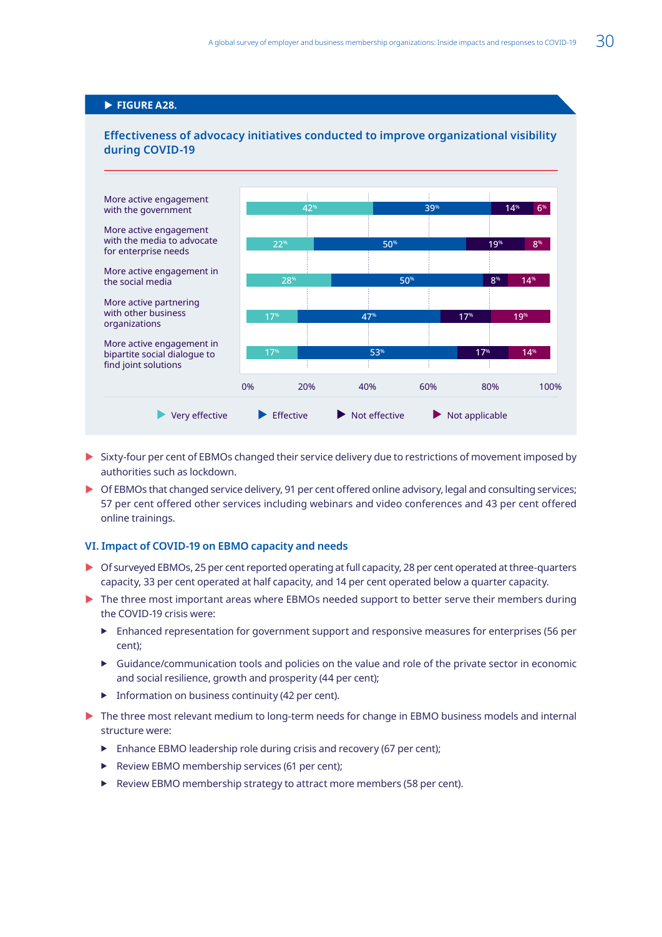## <span id="page-42-0"></span>**FIGURE A28.**



## **Effectiveness of advocacy initiatives conducted to improve organizational visibility during COVID-19**

- $\triangleright$  Sixty-four per cent of EBMOs changed their service delivery due to restrictions of movement imposed by authorities such as lockdown.
- $\triangleright$  Of EBMOs that changed service delivery, 91 per cent offered online advisory, legal and consulting services; 57 per cent offered other services including webinars and video conferences and 43 per cent offered online trainings.

### **VI. Impact of COVID-19 on EBMO capacity and needs**

- $\triangleright$  Of surveyed EBMOs, 25 per cent reported operating at full capacity, 28 per cent operated at three-quarters capacity, 33 per cent operated at half capacity, and 14 per cent operated below a quarter capacity.
- $\triangleright$  The three most important areas where EBMOs needed support to better serve their members during the COVID-19 crisis were:
	- $\blacktriangleright$  Enhanced representation for government support and responsive measures for enterprises (56 per cent);
	- $\triangleright$  Guidance/communication tools and policies on the value and role of the private sector in economic and social resilience, growth and prosperity (44 per cent);
	- $\blacktriangleright$  Information on business continuity (42 per cent).
- $\triangleright$  The three most relevant medium to long-term needs for change in EBMO business models and internal structure were:
	- $\blacktriangleright$  Enhance EBMO leadership role during crisis and recovery (67 per cent);
	- **F** Review EBMO membership services (61 per cent);
	- $\blacktriangleright$  Review EBMO membership strategy to attract more members (58 per cent).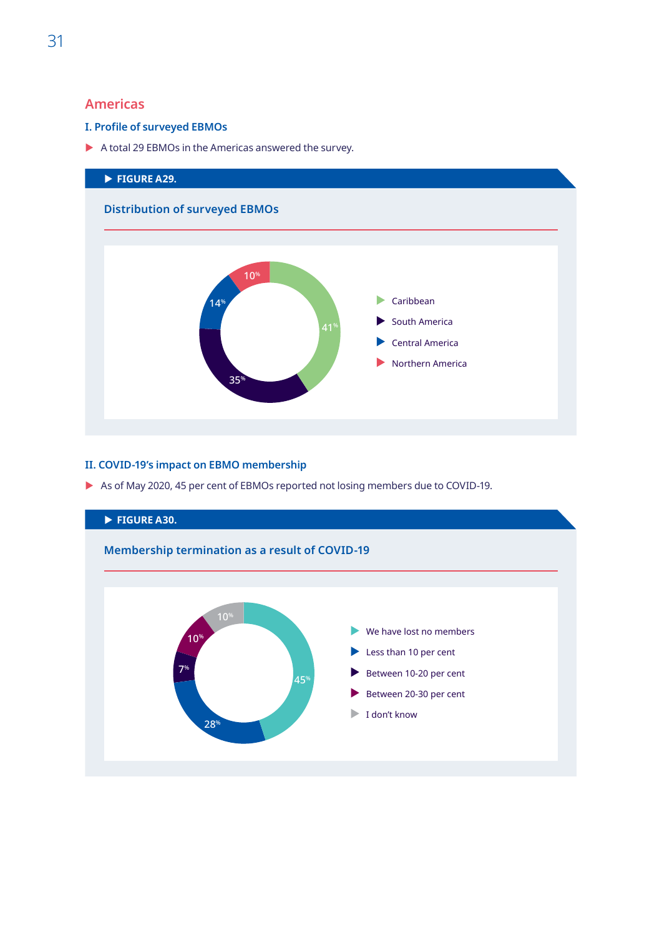## <span id="page-43-0"></span>**Americas**

## **I. Profile of surveyed EBMOs**

 $\blacktriangleright$  A total 29 EBMOs in the Americas answered the survey.



## **II. COVID-19's impact on EBMO membership**

As of May 2020, 45 per cent of EBMOs reported not losing members due to COVID-19.

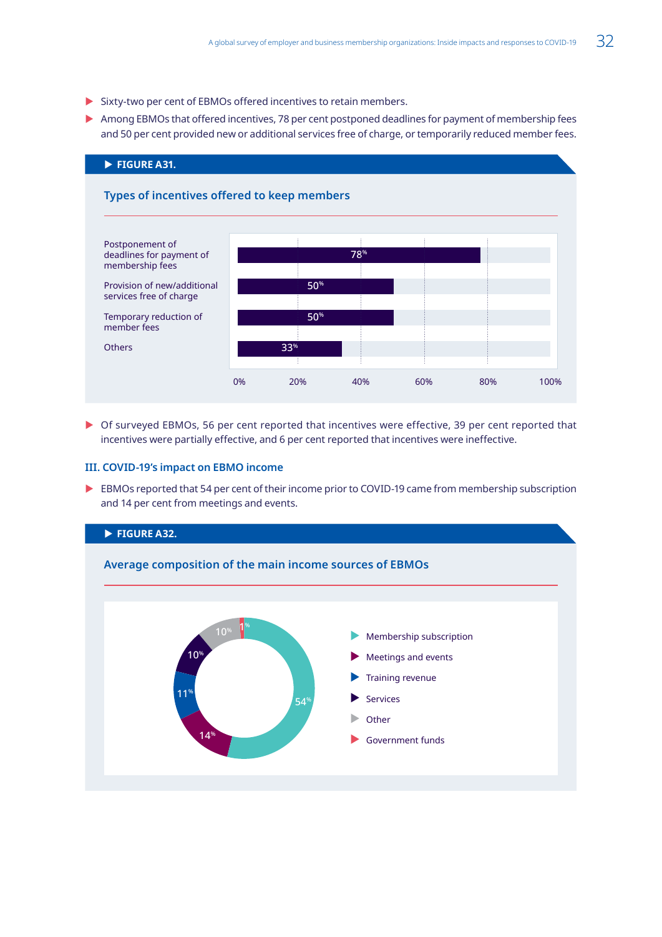- <span id="page-44-0"></span> $\triangleright$  Sixty-two per cent of EBMOs offered incentives to retain members.
- $\triangleright$  Among EBMOs that offered incentives, 78 per cent postponed deadlines for payment of membership fees and 50 per cent provided new or additional services free of charge, or temporarily reduced member fees.



▶ Of surveyed EBMOs, 56 per cent reported that incentives were effective, 39 per cent reported that incentives were partially effective, and 6 per cent reported that incentives were ineffective.

### **III. COVID-19's impact on EBMO income**

EBMOs reported that 54 per cent of their income prior to COVID-19 came from membership subscription and 14 per cent from meetings and events.

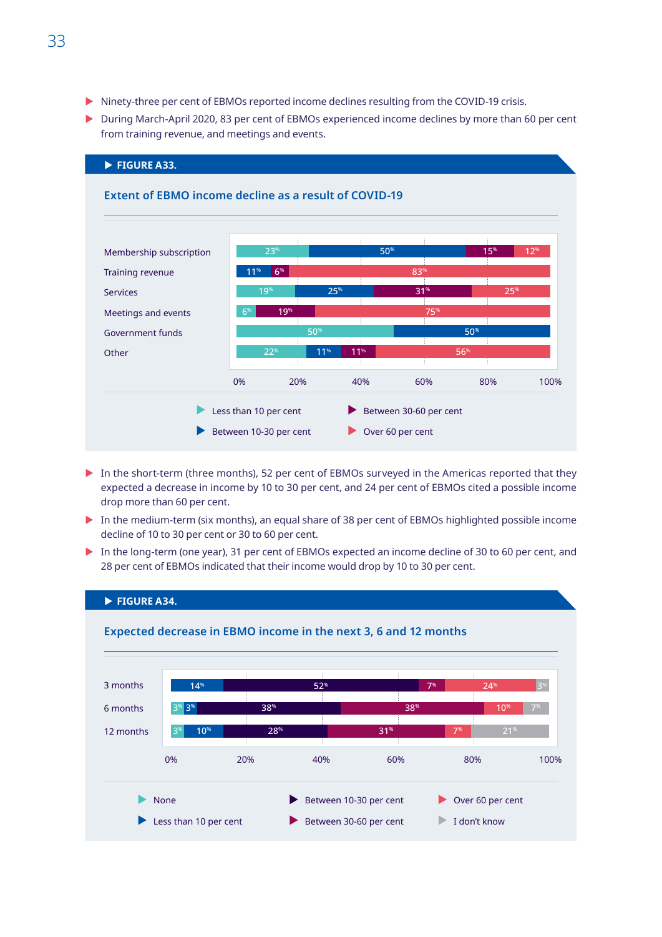- <span id="page-45-0"></span>Ininety-three per cent of EBMOs reported income declines resulting from the COVID-19 crisis.
- $\triangleright$  During March-April 2020, 83 per cent of EBMOs experienced income declines by more than 60 per cent from training revenue, and meetings and events.



- In the short-term (three months), 52 per cent of EBMOs surveyed in the Americas reported that they expected a decrease in income by 10 to 30 per cent, and 24 per cent of EBMOs cited a possible income drop more than 60 per cent.
- $\triangleright$  In the medium-term (six months), an equal share of 38 per cent of EBMOs highlighted possible income decline of 10 to 30 per cent or 30 to 60 per cent.
- In the long-term (one year), 31 per cent of EBMOs expected an income decline of 30 to 60 per cent, and 28 per cent of EBMOs indicated that their income would drop by 10 to 30 per cent.

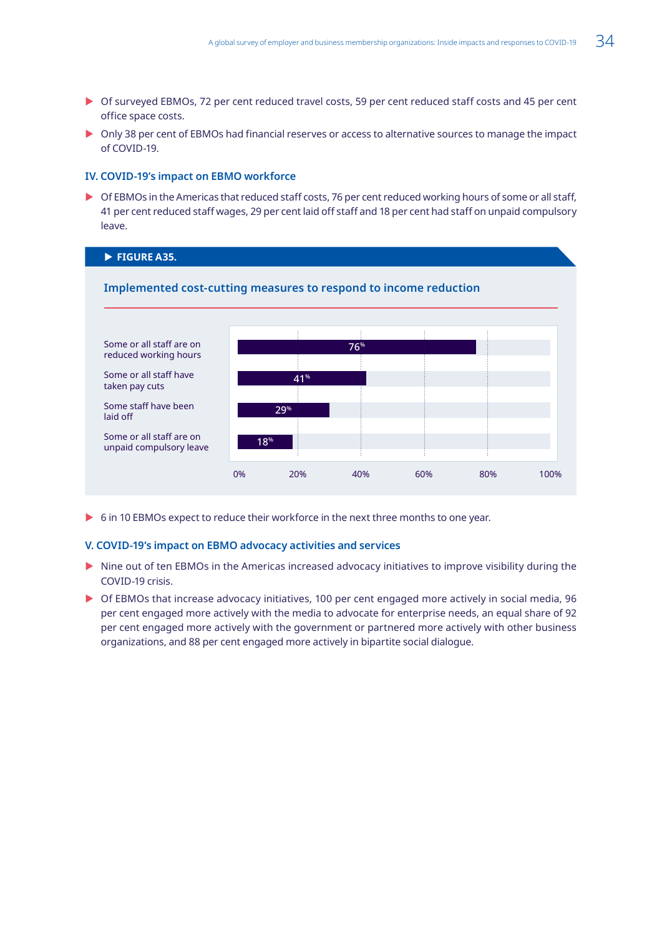- <span id="page-46-0"></span>▶ Of surveyed EBMOs, 72 per cent reduced travel costs, 59 per cent reduced staff costs and 45 per cent office space costs.
- $\triangleright$  Only 38 per cent of EBMOs had financial reserves or access to alternative sources to manage the impact of COVID-19.

#### **IV. COVID-19's impact on EBMO workforce**

▶ Of EBMOs in the Americas that reduced staff costs, 76 per cent reduced working hours of some or all staff, 41 per cent reduced staff wages, 29 per cent laid off staff and 18 per cent had staff on unpaid compulsory leave.

#### **FIGURE A35.**



▶ 6 in 10 EBMOs expect to reduce their workforce in the next three months to one year.

#### **V. COVID-19's impact on EBMO advocacy activities and services**

- $\triangleright$  Nine out of ten EBMOs in the Americas increased advocacy initiatives to improve visibility during the COVID-19 crisis.
- $\triangleright$  Of EBMOs that increase advocacy initiatives, 100 per cent engaged more actively in social media, 96 per cent engaged more actively with the media to advocate for enterprise needs, an equal share of 92 per cent engaged more actively with the government or partnered more actively with other business organizations, and 88 per cent engaged more actively in bipartite social dialogue.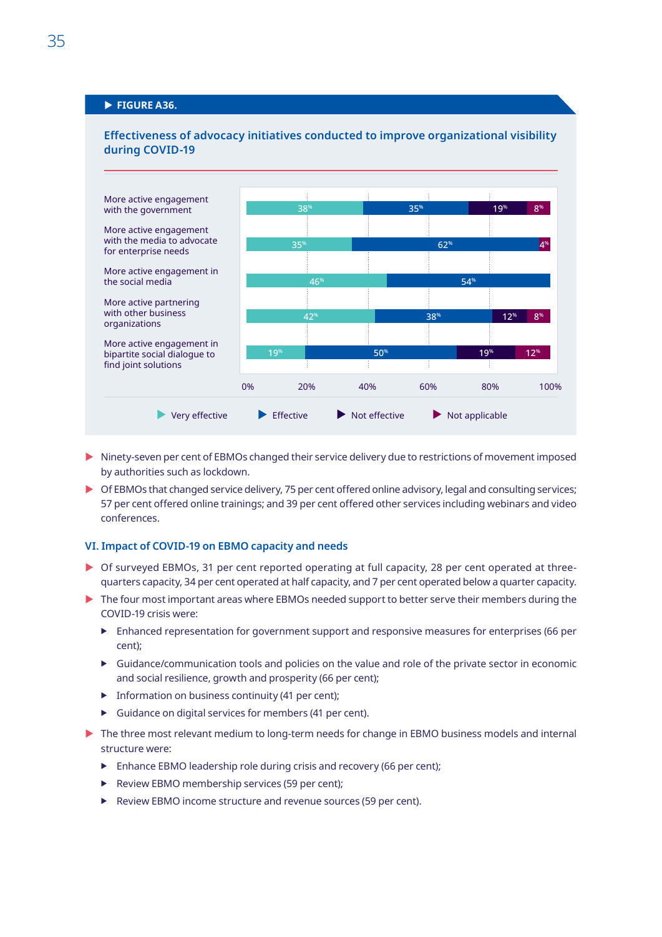## <span id="page-47-0"></span>**FIGURE A36.**



### **Effectiveness of advocacy initiatives conducted to improve organizational visibility during COVID-19**

- $\triangleright$  Ninety-seven per cent of EBMOs changed their service delivery due to restrictions of movement imposed by authorities such as lockdown.
- Of EBMOs that changed service delivery, 75 per cent offered online advisory, legal and consulting services; 57 per cent offered online trainings; and 39 per cent offered other services including webinars and video conferences.

#### **VI. Impact of COVID-19 on EBMO capacity and needs**

- $\triangleright$  Of surveyed EBMOs, 31 per cent reported operating at full capacity, 28 per cent operated at threequarters capacity, 34 per cent operated at half capacity, and 7 per cent operated below a quarter capacity.
- $\triangleright$  The four most important areas where EBMOs needed support to better serve their members during the COVID-19 crisis were:
	- $\blacktriangleright$  Enhanced representation for government support and responsive measures for enterprises (66 per cent);
	- $\triangleright$  Guidance/communication tools and policies on the value and role of the private sector in economic and social resilience, growth and prosperity (66 per cent);
	- $\blacktriangleright$  Information on business continuity (41 per cent);
	- $\blacktriangleright$  Guidance on digital services for members (41 per cent).
- $\triangleright$  The three most relevant medium to long-term needs for change in EBMO business models and internal structure were:
	- $\blacktriangleright$  Enhance EBMO leadership role during crisis and recovery (66 per cent);
	- **F** Review EBMO membership services (59 per cent);
	- $\blacktriangleright$  Review EBMO income structure and revenue sources (59 per cent).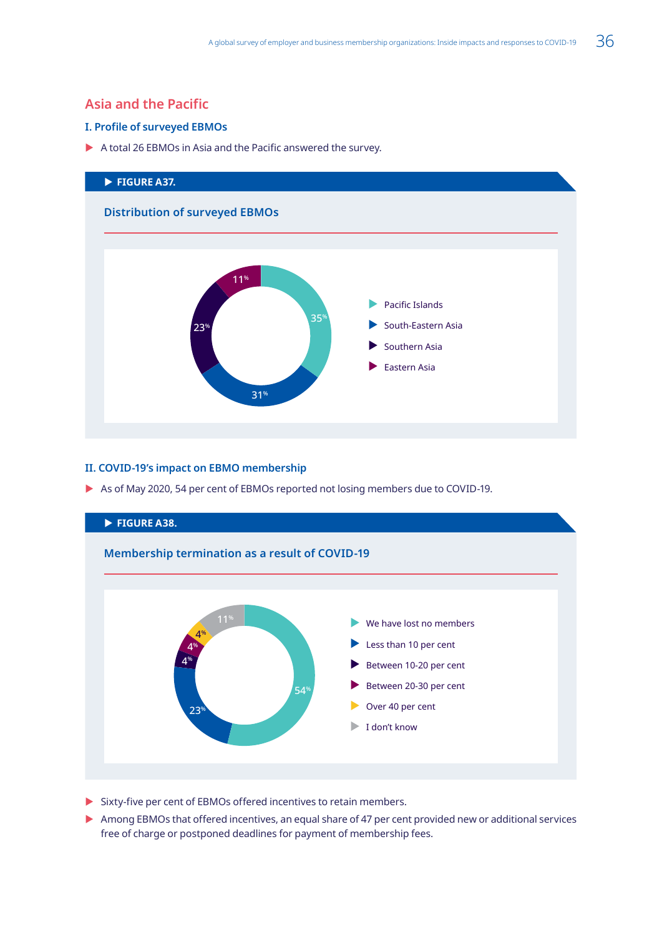## <span id="page-48-0"></span>**Asia and the Pacific**

## **I. Profile of surveyed EBMOs**

 $\blacktriangleright$  A total 26 EBMOs in Asia and the Pacific answered the survey.



## **II. COVID-19's impact on EBMO membership**

As of May 2020, 54 per cent of EBMOs reported not losing members due to COVID-19.



- $\triangleright$  Sixty-five per cent of EBMOs offered incentives to retain members.
- Among EBMOs that offered incentives, an equal share of 47 per cent provided new or additional services free of charge or postponed deadlines for payment of membership fees.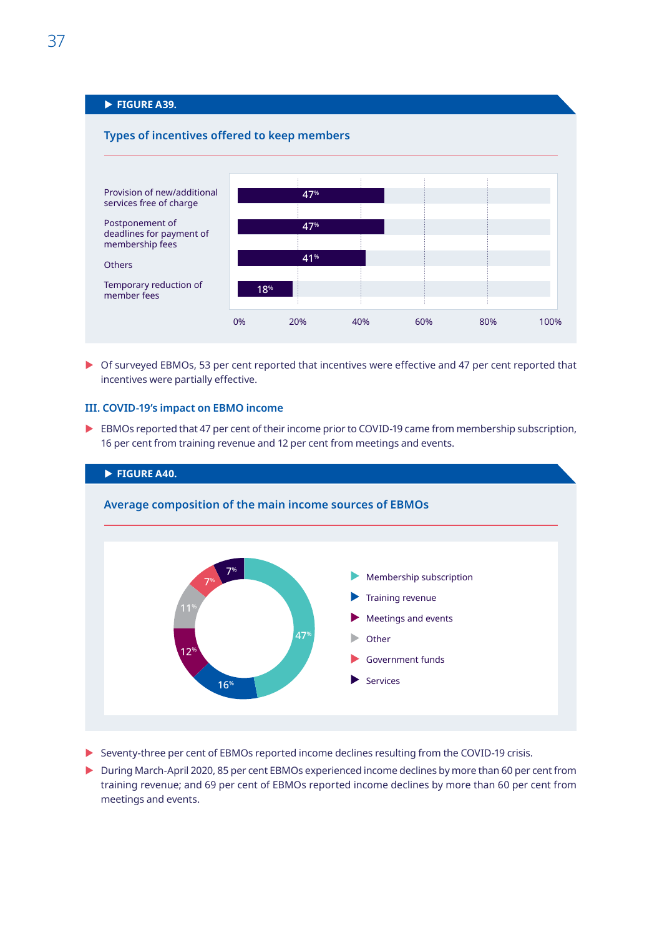## <span id="page-49-0"></span>**FIGURE A39.**



 $\triangleright$  Of surveyed EBMOs, 53 per cent reported that incentives were effective and 47 per cent reported that incentives were partially effective.

### **III. COVID-19's impact on EBMO income**

EBMOs reported that 47 per cent of their income prior to COVID-19 came from membership subscription, 16 per cent from training revenue and 12 per cent from meetings and events.



- ▶ Seventy-three per cent of EBMOs reported income declines resulting from the COVID-19 crisis.
- ▶ During March-April 2020, 85 per cent EBMOs experienced income declines by more than 60 per cent from training revenue; and 69 per cent of EBMOs reported income declines by more than 60 per cent from meetings and events.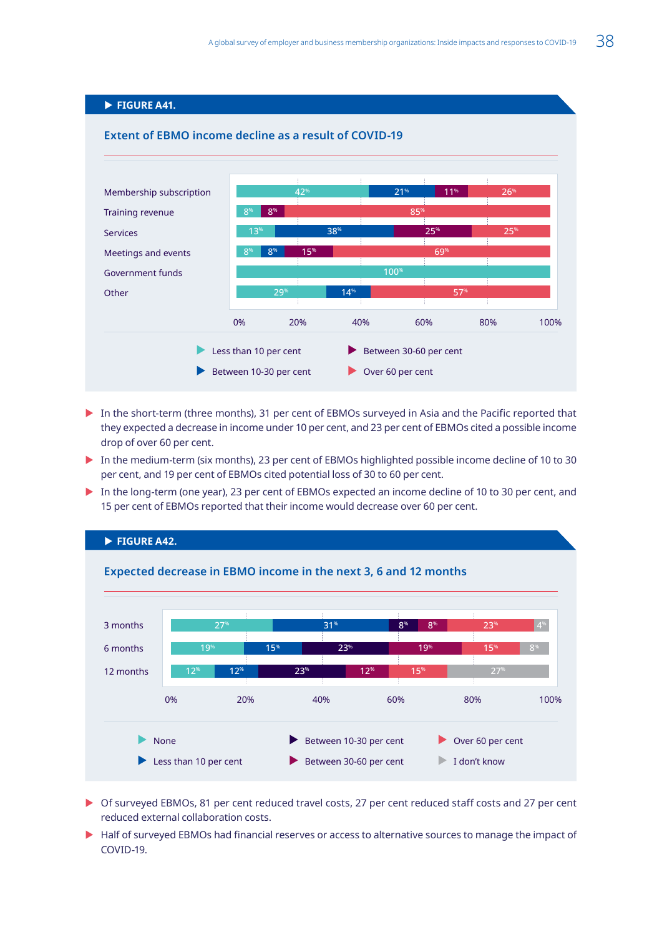## **FIGURE A41.**

<span id="page-50-0"></span>

- In the short-term (three months), 31 per cent of EBMOs surveyed in Asia and the Pacific reported that they expected a decrease in income under 10 per cent, and 23 per cent of EBMOs cited a possible income drop of over 60 per cent.
- In the medium-term (six months), 23 per cent of EBMOs highlighted possible income decline of 10 to 30 per cent, and 19 per cent of EBMOs cited potential loss of 30 to 60 per cent.
- In the long-term (one year), 23 per cent of EBMOs expected an income decline of 10 to 30 per cent, and 15 per cent of EBMOs reported that their income would decrease over 60 per cent.



- ▶ Of surveyed EBMOs, 81 per cent reduced travel costs, 27 per cent reduced staff costs and 27 per cent reduced external collaboration costs.
- $\blacktriangleright$  Half of surveyed EBMOs had financial reserves or access to alternative sources to manage the impact of COVID-19.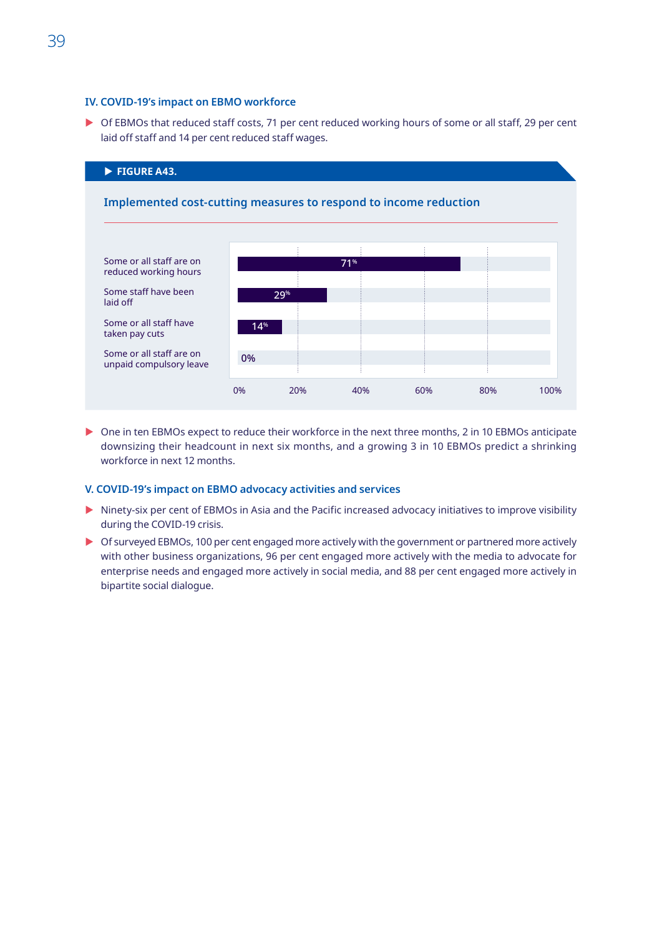#### <span id="page-51-0"></span>**IV. COVID-19's impact on EBMO workforce**

▶ Of EBMOs that reduced staff costs, 71 per cent reduced working hours of some or all staff, 29 per cent laid off staff and 14 per cent reduced staff wages.



▶ One in ten EBMOs expect to reduce their workforce in the next three months, 2 in 10 EBMOs anticipate downsizing their headcount in next six months, and a growing 3 in 10 EBMOs predict a shrinking workforce in next 12 months.

#### **V. COVID-19's impact on EBMO advocacy activities and services**

- Intery-six per cent of EBMOs in Asia and the Pacific increased advocacy initiatives to improve visibility during the COVID-19 crisis.
- $\triangleright$  Of surveyed EBMOs, 100 per cent engaged more actively with the government or partnered more actively with other business organizations, 96 per cent engaged more actively with the media to advocate for enterprise needs and engaged more actively in social media, and 88 per cent engaged more actively in bipartite social dialogue.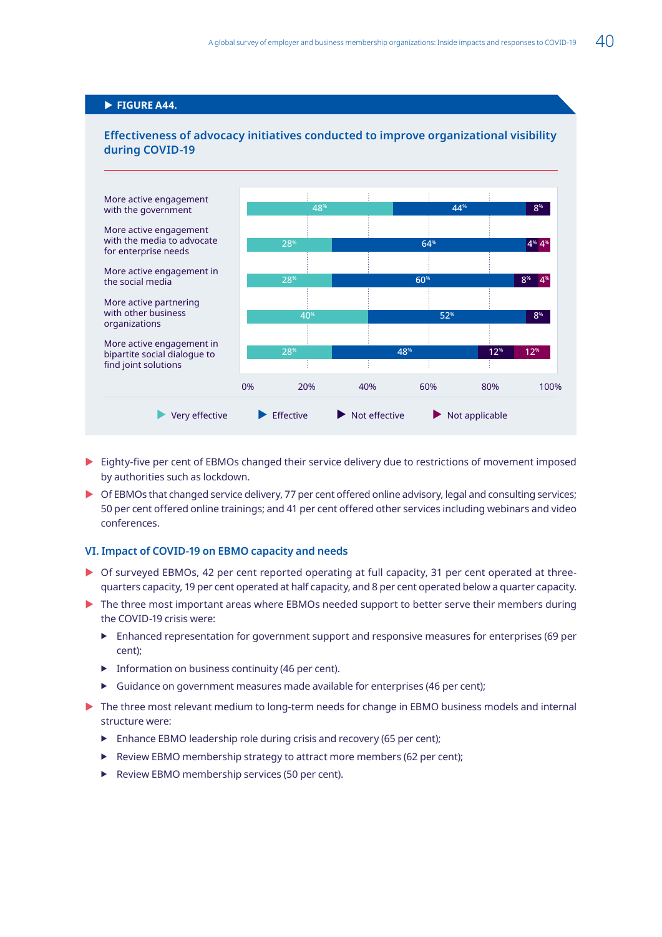## <span id="page-52-0"></span>**FIGURE A44.**



### **Effectiveness of advocacy initiatives conducted to improve organizational visibility during COVID-19**

- $\triangleright$  Eighty-five per cent of EBMOs changed their service delivery due to restrictions of movement imposed by authorities such as lockdown.
- ▶ Of EBMOs that changed service delivery, 77 per cent offered online advisory, legal and consulting services; 50 per cent offered online trainings; and 41 per cent offered other services including webinars and video conferences.

### **VI. Impact of COVID-19 on EBMO capacity and needs**

- ▶ Of surveyed EBMOs, 42 per cent reported operating at full capacity, 31 per cent operated at threequarters capacity, 19 per cent operated at half capacity, and 8 per cent operated below a quarter capacity.
- $\triangleright$  The three most important areas where EBMOs needed support to better serve their members during the COVID-19 crisis were:
	- $\blacktriangleright$  Enhanced representation for government support and responsive measures for enterprises (69 per cent);
	- $\blacktriangleright$  Information on business continuity (46 per cent).
	- $\triangleright$  Guidance on government measures made available for enterprises (46 per cent);
- The three most relevant medium to long-term needs for change in EBMO business models and internal structure were:
	- $\blacktriangleright$  Enhance EBMO leadership role during crisis and recovery (65 per cent);
	- $\blacktriangleright$  Review EBMO membership strategy to attract more members (62 per cent);
	- $\blacktriangleright$  Review EBMO membership services (50 per cent).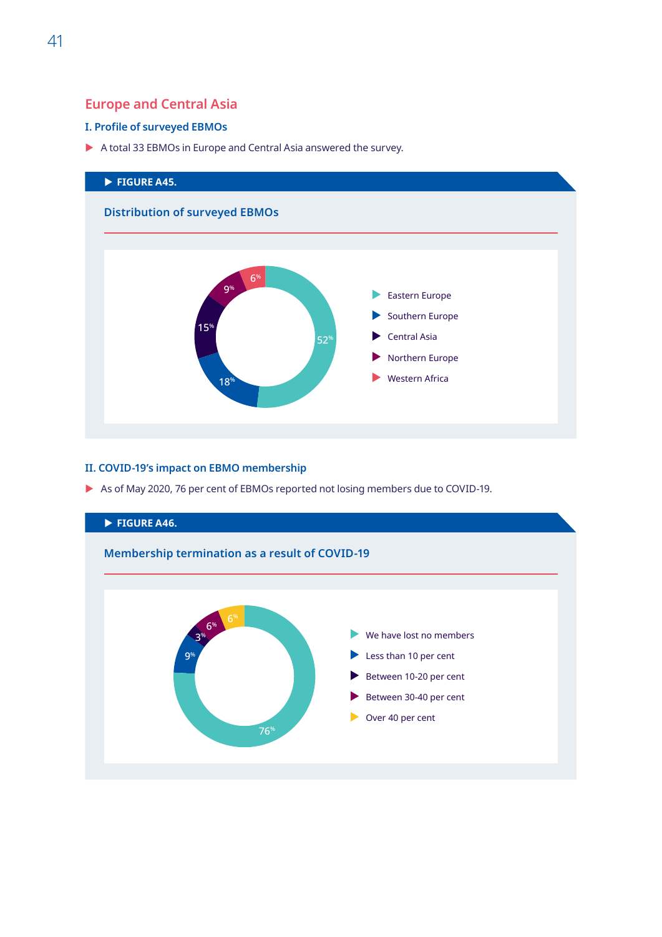## <span id="page-53-0"></span>**Europe and Central Asia**

## **I. Profile of surveyed EBMOs**

A total 33 EBMOs in Europe and Central Asia answered the survey.



## **II. COVID-19's impact on EBMO membership**

As of May 2020, 76 per cent of EBMOs reported not losing members due to COVID-19.

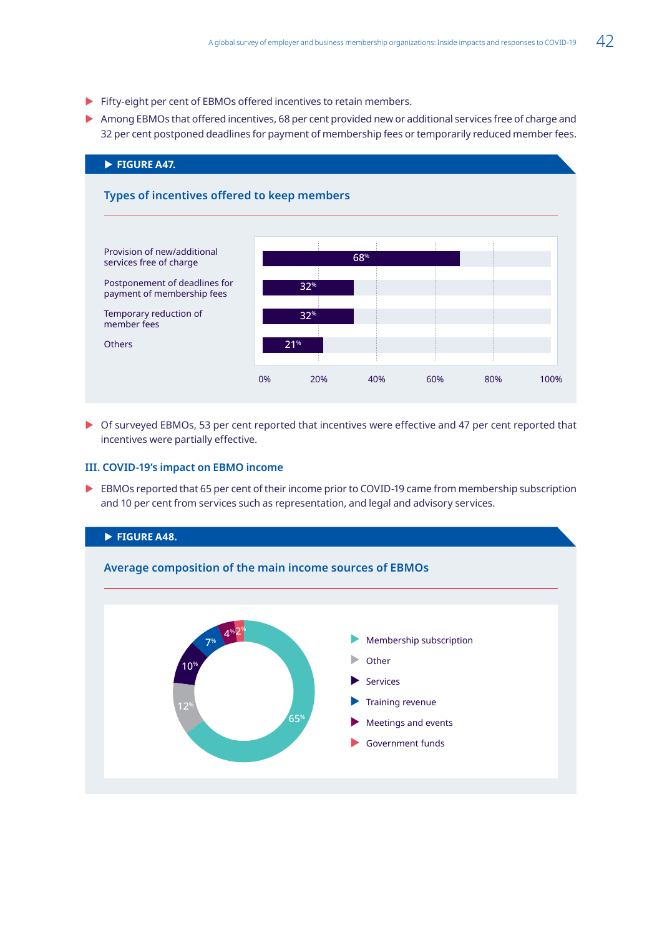- <span id="page-54-0"></span>Fifty-eight per cent of EBMOs offered incentives to retain members.
- $\triangleright$  Among EBMOs that offered incentives, 68 per cent provided new or additional services free of charge and 32 per cent postponed deadlines for payment of membership fees or temporarily reduced member fees.



▶ Of surveyed EBMOs, 53 per cent reported that incentives were effective and 47 per cent reported that incentives were partially effective.

### **III. COVID-19's impact on EBMO income**

EBMOs reported that 65 per cent of their income prior to COVID-19 came from membership subscription and 10 per cent from services such as representation, and legal and advisory services.

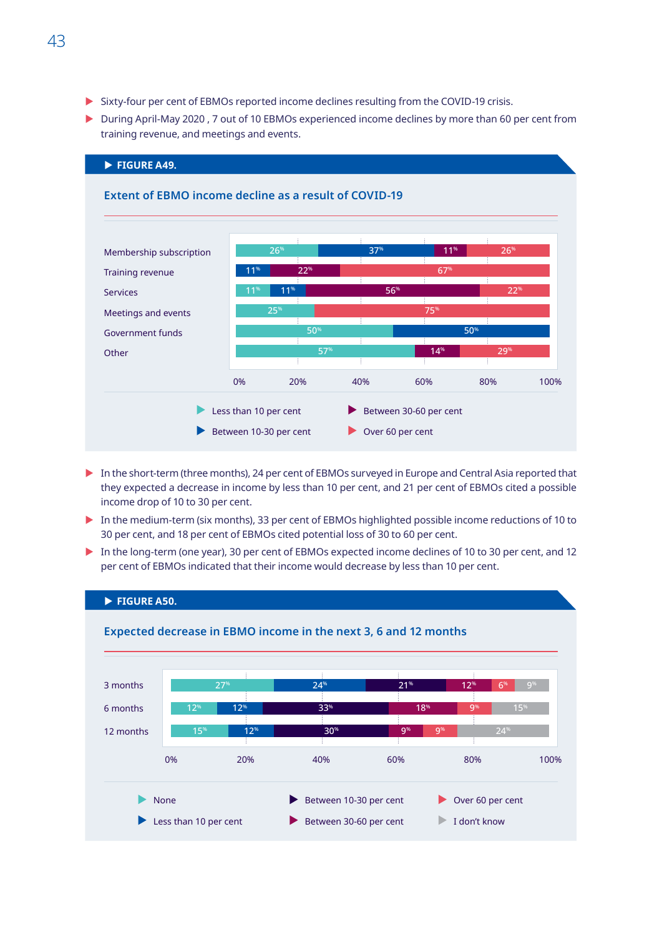- <span id="page-55-0"></span>▶ Sixty-four per cent of EBMOs reported income declines resulting from the COVID-19 crisis.
- $\triangleright$  During April-May 2020 , 7 out of 10 EBMOs experienced income declines by more than 60 per cent from training revenue, and meetings and events.



- In the short-term (three months), 24 per cent of EBMOs surveyed in Europe and Central Asia reported that they expected a decrease in income by less than 10 per cent, and 21 per cent of EBMOs cited a possible income drop of 10 to 30 per cent.
- In the medium-term (six months), 33 per cent of EBMOs highlighted possible income reductions of 10 to 30 per cent, and 18 per cent of EBMOs cited potential loss of 30 to 60 per cent.
- In the long-term (one year), 30 per cent of EBMOs expected income declines of 10 to 30 per cent, and 12 per cent of EBMOs indicated that their income would decrease by less than 10 per cent.

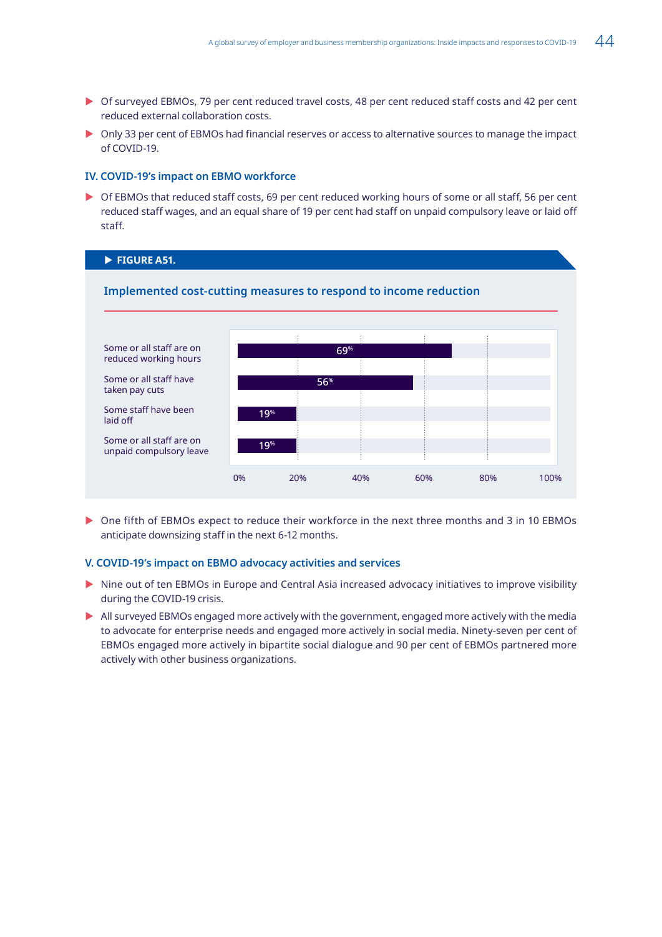- <span id="page-56-0"></span>▶ Of surveyed EBMOs, 79 per cent reduced travel costs, 48 per cent reduced staff costs and 42 per cent reduced external collaboration costs.
- $\triangleright$  Only 33 per cent of EBMOs had financial reserves or access to alternative sources to manage the impact of COVID-19.

### **IV. COVID-19's impact on EBMO workforce**

▶ Of EBMOs that reduced staff costs, 69 per cent reduced working hours of some or all staff, 56 per cent reduced staff wages, and an equal share of 19 per cent had staff on unpaid compulsory leave or laid off staff.

### **FIGURE A51.**



▶ One fifth of EBMOs expect to reduce their workforce in the next three months and 3 in 10 EBMOs anticipate downsizing staff in the next 6-12 months.

#### **V. COVID-19's impact on EBMO advocacy activities and services**

- In Nine out of ten EBMOs in Europe and Central Asia increased advocacy initiatives to improve visibility during the COVID-19 crisis.
- $\blacktriangleright$  All surveyed EBMOs engaged more actively with the government, engaged more actively with the media to advocate for enterprise needs and engaged more actively in social media. Ninety-seven per cent of EBMOs engaged more actively in bipartite social dialogue and 90 per cent of EBMOs partnered more actively with other business organizations.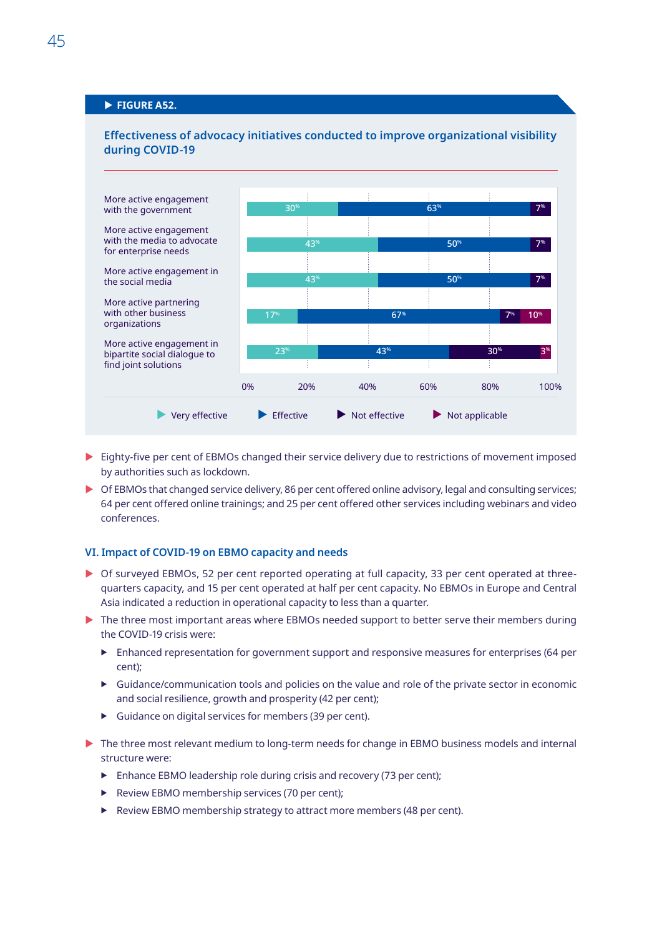## <span id="page-57-0"></span>**FIGURE A52.**



**Effectiveness of advocacy initiatives conducted to improve organizational visibility** 

- $\triangleright$  Eighty-five per cent of EBMOs changed their service delivery due to restrictions of movement imposed by authorities such as lockdown.
- Of EBMOs that changed service delivery, 86 per cent offered online advisory, legal and consulting services; 64 per cent offered online trainings; and 25 per cent offered other services including webinars and video conferences.

#### **VI. Impact of COVID-19 on EBMO capacity and needs**

- ▶ Of surveyed EBMOs, 52 per cent reported operating at full capacity, 33 per cent operated at threequarters capacity, and 15 per cent operated at half per cent capacity. No EBMOs in Europe and Central Asia indicated a reduction in operational capacity to less than a quarter.
- The three most important areas where EBMOs needed support to better serve their members during the COVID-19 crisis were:
	- $\blacktriangleright$  Enhanced representation for government support and responsive measures for enterprises (64 per cent);
	- $\triangleright$  Guidance/communication tools and policies on the value and role of the private sector in economic and social resilience, growth and prosperity (42 per cent);
	- $\blacktriangleright$  Guidance on digital services for members (39 per cent).
- $\triangleright$  The three most relevant medium to long-term needs for change in EBMO business models and internal structure were:
	- $\triangleright$  Enhance EBMO leadership role during crisis and recovery (73 per cent);
	- **F** Review EBMO membership services (70 per cent);
	- $\blacktriangleright$  Review EBMO membership strategy to attract more members (48 per cent).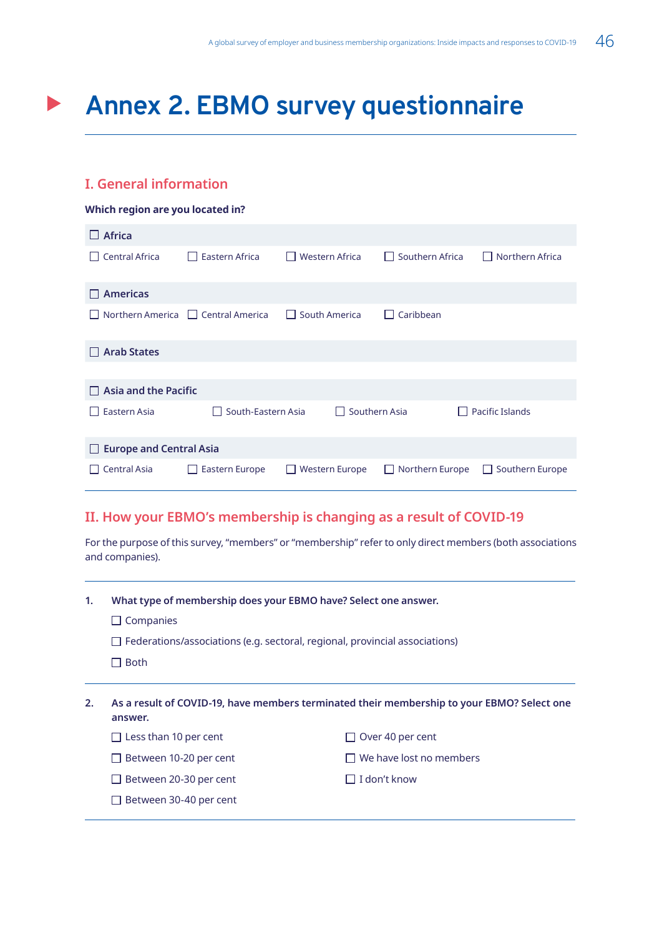## <span id="page-58-0"></span>**Annex 2. EBMO survey questionnaire**

## **I. General information**

| Which region are you located in?     |                                    |                                       |                       |                                 |  |                                 |
|--------------------------------------|------------------------------------|---------------------------------------|-----------------------|---------------------------------|--|---------------------------------|
| <b>Africa</b><br>$\Box$              |                                    |                                       |                       |                                 |  |                                 |
| <b>Central Africa</b><br>I I         | Eastern Africa<br>$\mathbf{1}$     | <b>Western Africa</b><br>$\mathbf{I}$ |                       | Southern Africa<br>$\mathsf{L}$ |  | Northern Africa<br>$\mathsf{L}$ |
| <b>Americas</b>                      |                                    |                                       |                       |                                 |  |                                 |
| Northern America                     | $\Box$ Central America             | South America<br>$\mathbf{L}$         |                       | Caribbean<br>H                  |  |                                 |
| <b>Arab States</b>                   |                                    |                                       |                       |                                 |  |                                 |
|                                      |                                    |                                       |                       |                                 |  |                                 |
| Asia and the Pacific<br>$\mathsf{L}$ |                                    |                                       |                       |                                 |  |                                 |
| Eastern Asia                         | South-Eastern Asia<br>$\mathsf{L}$ |                                       | Southern Asia         |                                 |  | Pacific Islands                 |
| <b>Europe and Central Asia</b><br>ப  |                                    |                                       |                       |                                 |  |                                 |
| <b>Central Asia</b>                  | Eastern Europe                     | $\mathbf{I}$                          | <b>Western Europe</b> | Northern Europe<br>$\mathbf{L}$ |  | Southern Europe<br>$\mathbf{L}$ |

## **II. How your EBMO's membership is changing as a result of COVID-19**

For the purpose of this survey, "members" or "membership" refer to only direct members (both associations and companies).

- **1. What type of membership does your EBMO have? Select one answer.** 
	- $\Box$  Companies

Between 30-40 per cent

- $\Box$  Federations/associations (e.g. sectoral, regional, provincial associations)
- $\Box$  Both

| As a result of COVID-19, have members terminated their membership to your EBMO? Select one<br>answer. |                                |  |  |
|-------------------------------------------------------------------------------------------------------|--------------------------------|--|--|
| $\Box$ Less than 10 per cent                                                                          | $\Box$ Over 40 per cent        |  |  |
| $\Box$ Between 10-20 per cent                                                                         | $\Box$ We have lost no members |  |  |
| $\Box$ Between 20-30 per cent                                                                         | $\Box$ I don't know            |  |  |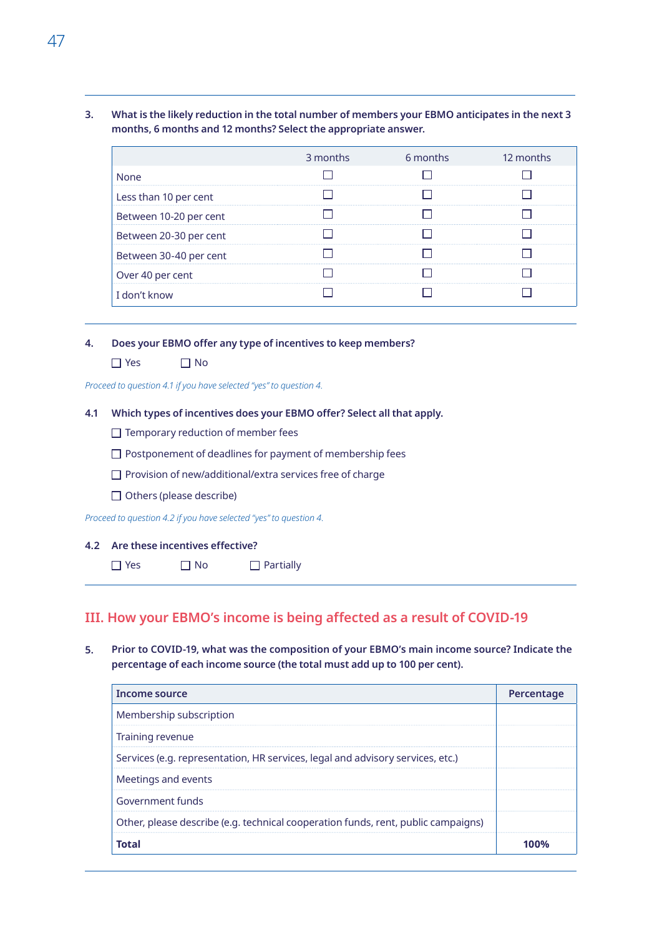**3. What is the likely reduction in the total number of members your EBMO anticipates in the next 3 months, 6 months and 12 months? Select the appropriate answer.** 

|                        | 3 months | 6 months | 12 months |
|------------------------|----------|----------|-----------|
| None                   |          |          |           |
| Less than 10 per cent  |          |          |           |
| Between 10-20 per cent |          |          |           |
| Between 20-30 per cent |          |          |           |
| Between 30-40 per cent |          |          |           |
| Over 40 per cent       |          |          |           |
| I don't know           |          |          |           |

- **4. Does your EBMO offer any type of incentives to keep members?**
	- $\Box$  Yes  $\Box$  No

*Proceed to question 4.1 if you have selected "yes" to question 4.* 

#### **4.1 Which types of incentives does your EBMO offer? Select all that apply.**

- $\Box$  Temporary reduction of member fees
- $\Box$  Postponement of deadlines for payment of membership fees
- $\Box$  Provision of new/additional/extra services free of charge
- $\Box$  Others (please describe)

*Proceed to question 4.2 if you have selected "yes" to question 4.* 

### **4.2 Are these incentives effective?**

 $\Box$  Yes  $\Box$  No  $\Box$  Partially

## **III. How your EBMO's income is being affected as a result of COVID-19**

**5. Prior to COVID-19, what was the composition of your EBMO's main income source? Indicate the percentage of each income source (the total must add up to 100 per cent).** 

| Income source                                                                     | Percentage |
|-----------------------------------------------------------------------------------|------------|
| Membership subscription                                                           |            |
| Training revenue                                                                  |            |
| Services (e.g. representation, HR services, legal and advisory services, etc.)    |            |
| Meetings and events                                                               |            |
| Government funds                                                                  |            |
| Other, please describe (e.g. technical cooperation funds, rent, public campaigns) |            |
| <b>Total</b>                                                                      | 100%       |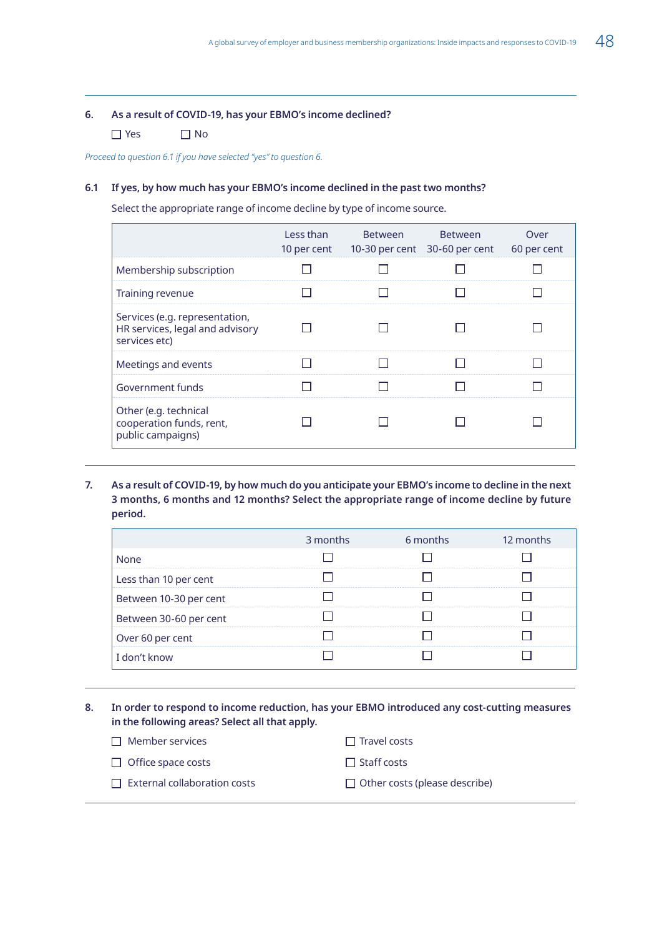#### **6. As a result of COVID-19, has your EBMO's income declined?**

 $\Box$  Yes  $\Box$  No

*Proceed to question 6.1 if you have selected "yes" to question 6.* 

#### **6.1 If yes, by how much has your EBMO's income declined in the past two months?**

Select the appropriate range of income decline by type of income source.

|                                                                                    | Less than<br>10 per cent | Between | <b>Between</b><br>10-30 per cent 30-60 per cent | Over<br>60 per cent |
|------------------------------------------------------------------------------------|--------------------------|---------|-------------------------------------------------|---------------------|
| Membership subscription                                                            |                          |         |                                                 |                     |
| Training revenue                                                                   |                          |         |                                                 |                     |
| Services (e.g. representation,<br>HR services, legal and advisory<br>services etc) |                          |         |                                                 |                     |
| Meetings and events                                                                |                          |         |                                                 |                     |
| Government funds                                                                   |                          |         |                                                 |                     |
| Other (e.g. technical<br>cooperation funds, rent,<br>public campaigns)             |                          |         |                                                 |                     |

**7. As a result of COVID-19, by how much do you anticipate your EBMO's income to decline in the next 3 months, 6 months and 12 months? Select the appropriate range of income decline by future period.**

|                        | 3 months | 6 months | 12 months |
|------------------------|----------|----------|-----------|
| None                   |          |          |           |
| Less than 10 per cent  |          |          |           |
| Between 10-30 per cent |          |          |           |
| Between 30-60 per cent |          |          |           |
| Over 60 per cent       |          |          |           |
| I don't know           |          |          |           |

**8. In order to respond to income reduction, has your EBMO introduced any cost-cutting measures in the following areas? Select all that apply.** 

| $\Box$ Member services              | <b>Travel costs</b>                  |
|-------------------------------------|--------------------------------------|
| $\Box$ Office space costs           | $\Box$ Staff costs                   |
| $\Box$ External collaboration costs | $\Box$ Other costs (please describe) |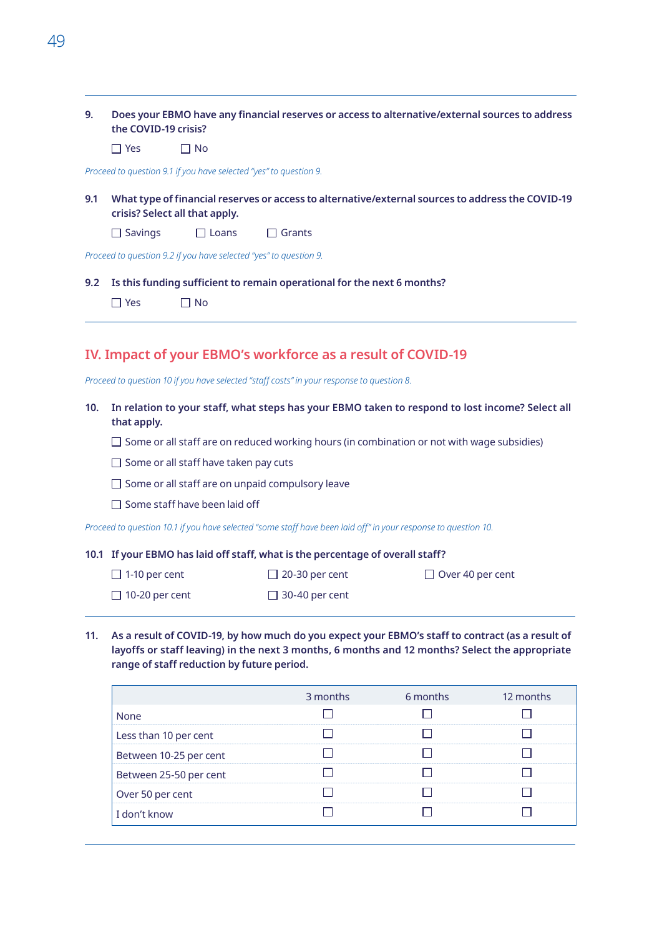- **9. Does your EBMO have any financial reserves or access to alternative/external sources to address the COVID-19 crisis?** 
	- $\Box$  Yes  $\Box$  No

*Proceed to question 9.1 if you have selected "yes" to question 9.* 

**9.1 What type of financial reserves or access to alternative/external sources to address the COVID-19 crisis? Select all that apply.** 

| $\Box$ Savings | $\Box$ Loans | $\Box$ Grants |
|----------------|--------------|---------------|
|----------------|--------------|---------------|

*Proceed to question 9.2 if you have selected "yes" to question 9.* 

**9.2 Is this funding sufficient to remain operational for the next 6 months?** 

| $\Box$ Yes | $\Box$ No |
|------------|-----------|
|------------|-----------|

## **IV. Impact of your EBMO's workforce as a result of COVID-19**

*Proceed to question 10 if you have selected "staff costs" in your response to question 8.* 

- **10. In relation to your staff, what steps has your EBMO taken to respond to lost income? Select all that apply.**
	- $\square$  Some or all staff are on reduced working hours (in combination or not with wage subsidies)
	- $\Box$  Some or all staff have taken pay cuts
	- $\Box$  Some or all staff are on unpaid compulsory leave
	- $\Box$  Some staff have been laid off

*Proceed to question 10.1 if you have selected "some staff have been laid off" in your response to question 10.*

#### **10.1 If your EBMO has laid off staff, what is the percentage of overall staff?**

 $\Box$  1-10 per cent

 $\Box$  20-30 per cent

 $\Box$  10-20 per cent

 $\Box$  30-40 per cent

Over 40 per cent

- 
- **11. As a result of COVID-19, by how much do you expect your EBMO's staff to contract (as a result of layoffs or staff leaving) in the next 3 months, 6 months and 12 months? Select the appropriate range of staff reduction by future period.**

|                        | 3 months | 6 months | 12 months |
|------------------------|----------|----------|-----------|
| None                   |          |          |           |
| Less than 10 per cent  |          |          |           |
| Between 10-25 per cent |          |          |           |
| Between 25-50 per cent |          |          |           |
| Over 50 per cent       |          |          |           |
| I don't know           |          |          |           |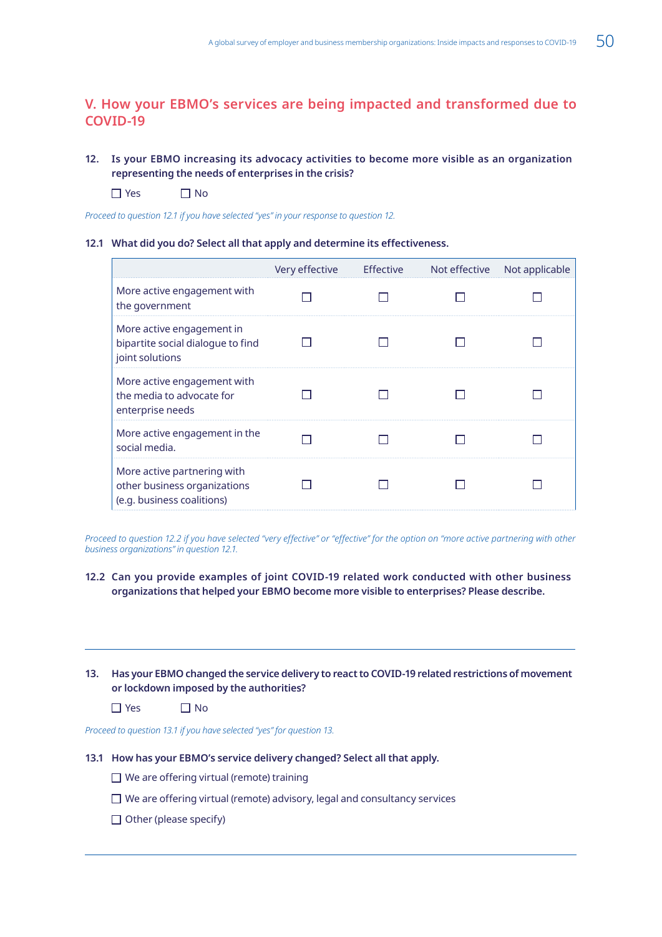## **V. How your EBMO's services are being impacted and transformed due to COVID-19**

## **12. Is your EBMO increasing its advocacy activities to become more visible as an organization representing the needs of enterprises in the crisis?**

 $\Box$  Yes  $\Box$  No

*Proceed to question 12.1 if you have selected "yes" in your response to question 12.* 

#### **12.1 What did you do? Select all that apply and determine its effectiveness.**

|                                                                                           | Very effective | <b>Effective</b> | Not effective | Not applicable |
|-------------------------------------------------------------------------------------------|----------------|------------------|---------------|----------------|
| More active engagement with<br>the government                                             |                |                  |               |                |
| More active engagement in<br>bipartite social dialogue to find<br>joint solutions         |                |                  |               |                |
| More active engagement with<br>the media to advocate for<br>enterprise needs              |                |                  |               |                |
| More active engagement in the<br>social media.                                            |                |                  |               |                |
| More active partnering with<br>other business organizations<br>(e.g. business coalitions) |                |                  |               |                |

*Proceed to question 12.2 if you have selected "very effective" or "effective" for the option on "more active partnering with other business organizations" in question 12.1.* 

### **12.2 Can you provide examples of joint COVID-19 related work conducted with other business organizations that helped your EBMO become more visible to enterprises? Please describe.**

**13. Has your EBMO changed the service delivery to react to COVID-19 related restrictions of movement or lockdown imposed by the authorities?**

 $\Box$  Yes  $\Box$  No

*Proceed to question 13.1 if you have selected "yes" for question 13.* 

#### **13.1 How has your EBMO's service delivery changed? Select all that apply.**

 $\Box$  We are offering virtual (remote) training

- $\Box$  We are offering virtual (remote) advisory, legal and consultancy services
- $\Box$  Other (please specify)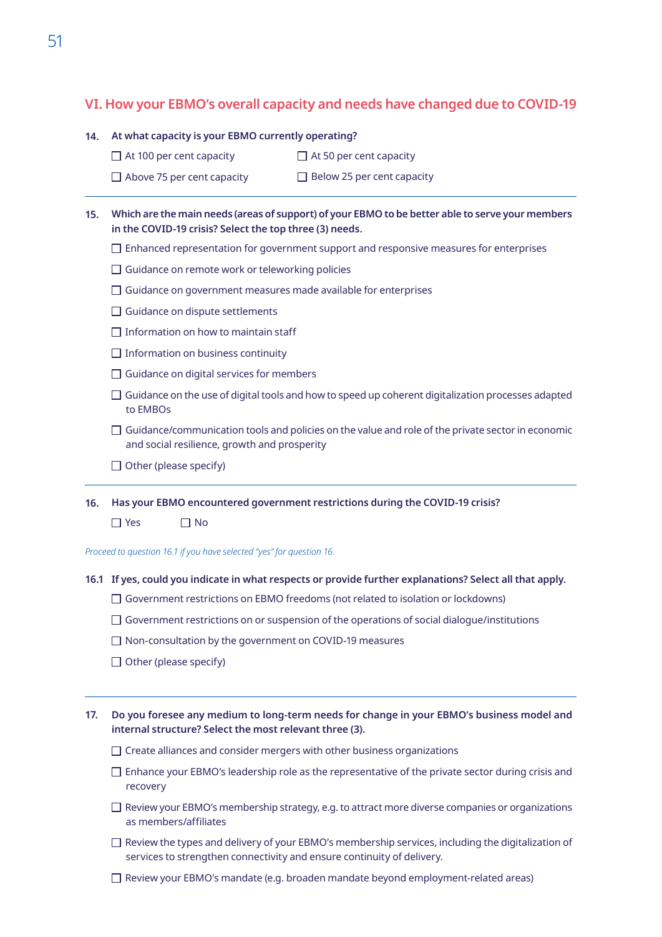## **VI. How your EBMO's overall capacity and needs have changed due to COVID-19**

#### **14. At what capacity is your EBMO currently operating?**

 $\Box$  At 100 per cent capacity  $\Box$  At 50 per cent capacity

 $\Box$  Above 75 per cent capacity  $\Box$  Below 25 per cent capacity

- **15. Which are the main needs (areas of support) of your EBMO to be better able to serve your members in the COVID-19 crisis? Select the top three (3) needs.** 
	- $\square$  Enhanced representation for government support and responsive measures for enterprises
	- $\Box$  Guidance on remote work or teleworking policies
	- $\Box$  Guidance on government measures made available for enterprises
	- $\Box$  Guidance on dispute settlements
	- $\Box$  Information on how to maintain staff
	- $\Box$  Information on business continuity
	- $\Box$  Guidance on digital services for members
	- $\Box$  Guidance on the use of digital tools and how to speed up coherent digitalization processes adapted to EMBOs
	- $\square$  Guidance/communication tools and policies on the value and role of the private sector in economic and social resilience, growth and prosperity
	- $\Box$  Other (please specify)
- **16. Has your EBMO encountered government restrictions during the COVID-19 crisis?** 
	- $\Box$  Yes  $\Box$  No

*Proceed to question 16.1 if you have selected "yes" for question 16.* 

#### **16.1 If yes, could you indicate in what respects or provide further explanations? Select all that apply.**

- $\Box$  Government restrictions on EBMO freedoms (not related to isolation or lockdowns)
- $\square$  Government restrictions on or suspension of the operations of social dialogue/institutions
- $\Box$  Non-consultation by the government on COVID-19 measures
- $\Box$  Other (please specify)
- **17. Do you foresee any medium to long-term needs for change in your EBMO's business model and internal structure? Select the most relevant three (3).** 
	- $\Box$  Create alliances and consider mergers with other business organizations
	- $\square$  Enhance your EBMO's leadership role as the representative of the private sector during crisis and recovery
	- $\Box$  Review your EBMO's membership strategy, e.g. to attract more diverse companies or organizations as members/affiliates
	- $\Box$  Review the types and delivery of your EBMO's membership services, including the digitalization of services to strengthen connectivity and ensure continuity of delivery.
	- $\Box$  Review your EBMO's mandate (e.g. broaden mandate beyond employment-related areas)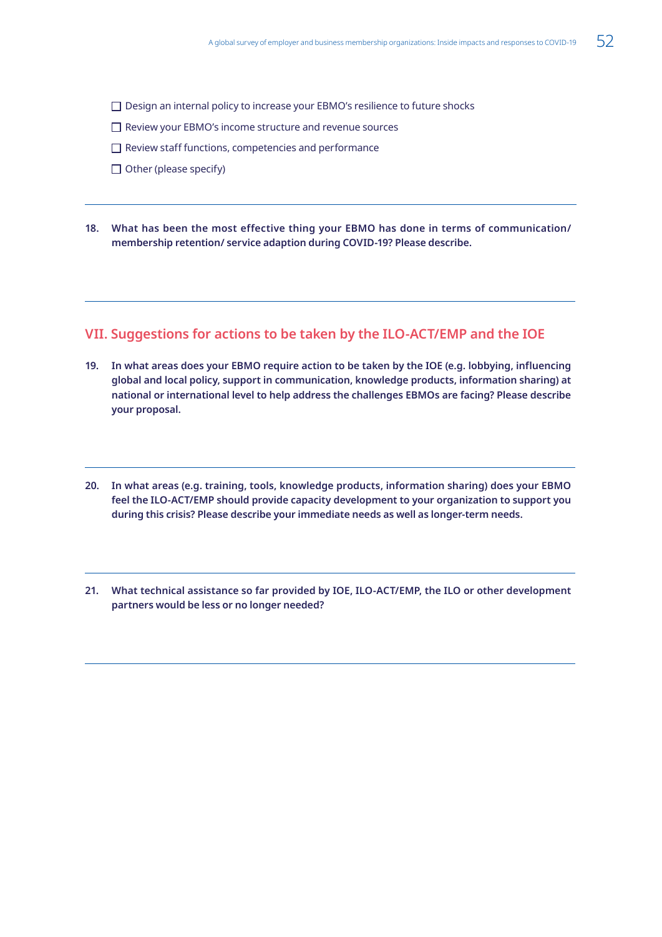- □ Design an internal policy to increase your EBMO's resilience to future shocks
- □ Review your EBMO's income structure and revenue sources
- $\Box$  Review staff functions, competencies and performance
- $\Box$  Other (please specify)
- **18. What has been the most effective thing your EBMO has done in terms of communication/ membership retention/ service adaption during COVID-19? Please describe.**

## **VII. Suggestions for actions to be taken by the ILO-ACT/EMP and the IOE**

- **19. In what areas does your EBMO require action to be taken by the IOE (e.g. lobbying, influencing global and local policy, support in communication, knowledge products, information sharing) at national or international level to help address the challenges EBMOs are facing? Please describe your proposal.**
- **20. In what areas (e.g. training, tools, knowledge products, information sharing) does your EBMO feel the ILO-ACT/EMP should provide capacity development to your organization to support you during this crisis? Please describe your immediate needs as well as longer-term needs.**
- **21. What technical assistance so far provided by IOE, ILO-ACT/EMP, the ILO or other development partners would be less or no longer needed?**